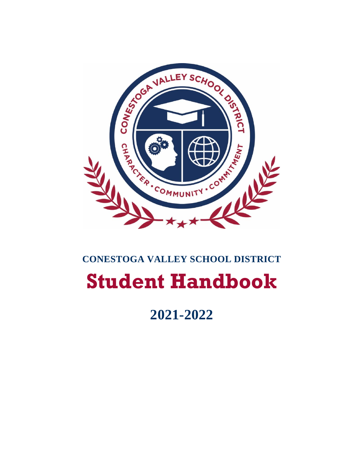

# **CONESTOGA VALLEY SCHOOL DISTRICT Student Handbook**

**2021-2022**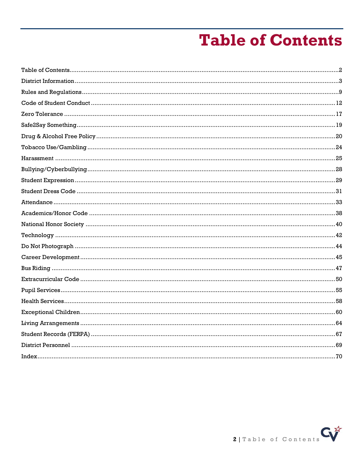# **Table of Contents**

<span id="page-1-0"></span>

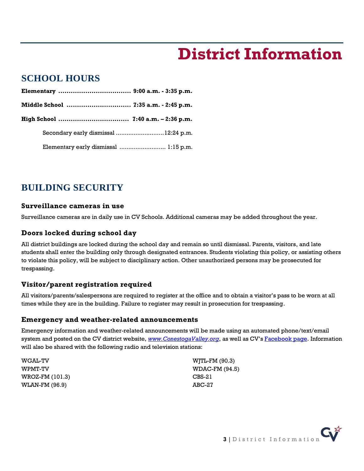# **District Information**

## <span id="page-2-0"></span>**SCHOOL HOURS**

| Middle School  7:35 a.m. - 2:45 p.m.  |  |
|---------------------------------------|--|
|                                       |  |
| Secondary early dismissal  12:24 p.m. |  |
| Elementary early dismissal  1:15 p.m. |  |

# **BUILDING SECURITY**

### **Surveillance cameras in use**

Surveillance cameras are in daily use in CV Schools. Additional cameras may be added throughout the year.

### **Doors locked during school day**

All district buildings are locked during the school day and remain so until dismissal. Parents, visitors, and late students shall enter the building only through designated entrances. Students violating this policy, or assisting others to violate this policy, will be subject to disciplinary action. Other unauthorized persons may be prosecuted for trespassing.

### **Visitor/parent registration required**

All visitors/parents/salespersons are required to register at the office and to obtain a visitor's pass to be worn at all times while they are in the building. Failure to register may result in prosecution for trespassing.

### <span id="page-2-1"></span>**Emergency and weather-related announcements**

Emergency information and weather-related announcements will be made using an automated phone/text/email system and posted on the CV district website, *[www.ConestogaValley.org](http://www.conestogavalley.org/)*, as well as CV's **[Facebook](http://www.facebook.com/conestogavalley) page**. Information will also be shared with the following radio and television stations:

| <b>WGAL-TV</b>  | WJTL-FM (90.3) |
|-----------------|----------------|
| WPMT-TV         | WDAC-FM (94.5) |
| WROZ-FM (101.3) | CBS-21         |
| WLAN-FM (96.9)  | $ABC-27$       |

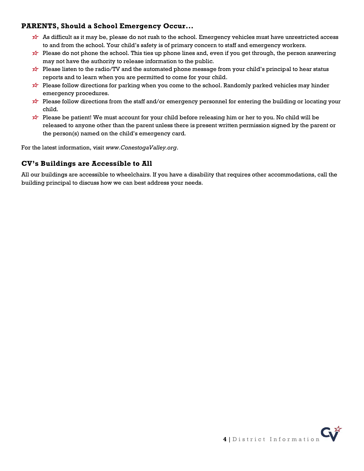## **PARENTS, Should a School Emergency Occur...**

- As difficult as it may be, please do not rush to the school. Emergency vehicles must have unrestricted access to and from the school. Your child's safety is of primary concern to staff and emergency workers.
- Please do not phone the school. This ties up phone lines and, even if you get through, the person answering may not have the authority to release information to the public.
- Please listen to the radio/TV and the automated phone message from your child's principal to hear status reports and to learn when you are permitted to come for your child.
- Please follow directions for parking when you come to the school. Randomly parked vehicles may hinder emergency procedures.
- Please follow directions from the staff and/or emergency personnel for entering the building or locating your child.
- Please be patient! We must account for your child before releasing him or her to you. No child will be released to anyone other than the parent unless there is present written permission signed by the parent or the person(s) named on the child's emergency card.

For the latest information, visit *www.ConestogaValley.org*.

## **CV's Buildings are Accessible to All**

All our buildings are accessible to wheelchairs. If you have a disability that requires other accommodations, call the building principal to discuss how we can best address your needs.

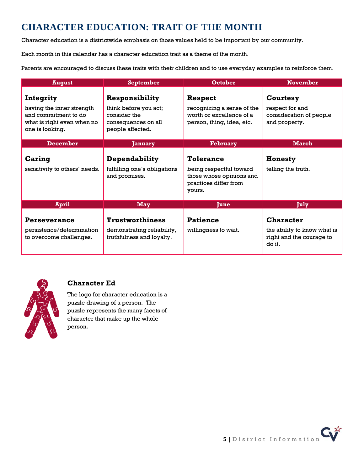# **CHARACTER EDUCATION: TRAIT OF THE MONTH**

Character education is a districtwide emphasis on those values held to be important by our community.

Each month in this calendar has a character education trait as a theme of the month.

Parents are encouraged to discuss these traits with their children and to use everyday examples to reinforce them.

| <b>August</b>                                                                                                   | <b>September</b>                                                                                   | <b>October</b>                                                                                             | <b>November</b>                                                                       |
|-----------------------------------------------------------------------------------------------------------------|----------------------------------------------------------------------------------------------------|------------------------------------------------------------------------------------------------------------|---------------------------------------------------------------------------------------|
| Integrity<br>having the inner strength<br>and commitment to do<br>what is right even when no<br>one is looking. | Responsibility<br>think before you act;<br>consider the<br>consequences on all<br>people affected. | <b>Respect</b><br>recognizing a sense of the<br>worth or excellence of a<br>person, thing, idea, etc.      | Courtesy<br>respect for and<br>consideration of people<br>and property.               |
| <b>December</b>                                                                                                 | <b>January</b>                                                                                     | <b>February</b>                                                                                            | <b>March</b>                                                                          |
| Caring<br>sensitivity to others' needs.                                                                         | Dependability<br>fulfilling one's obligations<br>and promises.                                     | <b>Tolerance</b><br>being respectful toward<br>those whose opinions and<br>practices differ from<br>yours. | Honesty<br>telling the truth.                                                         |
| April                                                                                                           | <b>May</b>                                                                                         | <b>June</b>                                                                                                | July                                                                                  |
| Perseverance<br>persistence/determination<br>to overcome challenges.                                            | <b>Trustworthiness</b><br>demonstrating reliability,<br>truthfulness and loyalty.                  | <b>Patience</b><br>willingness to wait.                                                                    | <b>Character</b><br>the ability to know what is<br>right and the courage to<br>do it. |



## **Character Ed**

The logo for character education is a puzzle drawing of a person. The puzzle represents the many facets of character that make up the whole person.

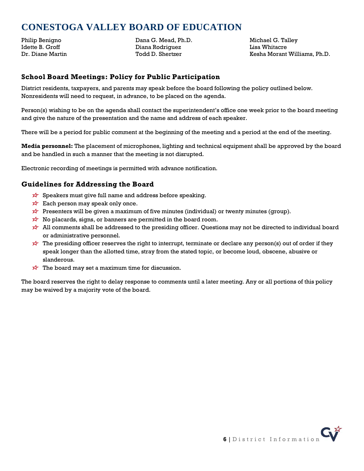# **CONESTOGA VALLEY BOARD OF EDUCATION**

Philip Benigno Idette B. Groff Dr. Diane Martin Dana G. Mead, Ph.D. Diana Rodriguez Todd D. Shertzer

Michael G. Talley Lisa Whitacre Kesha Morant Williams, Ph.D.

### **School Board Meetings: Policy for Public Participation**

District residents, taxpayers, and parents may speak before the board following the policy outlined below. Nonresidents will need to request, in advance, to be placed on the agenda.

Person(s) wishing to be on the agenda shall contact the superintendent's office one week prior to the board meeting and give the nature of the presentation and the name and address of each speaker.

There will be a period for public comment at the beginning of the meeting and a period at the end of the meeting.

**Media personnel:** The placement of microphones, lighting and technical equipment shall be approved by the board and be handled in such a manner that the meeting is not disrupted.

Electronic recording of meetings is permitted with advance notification.

### **Guidelines for Addressing the Board**

- $\overrightarrow{x}$  Speakers must give full name and address before speaking.
- $\overrightarrow{x}$  Each person may speak only once.
- **Presenters will be given a maximum of five minutes (individual) or twenty minutes (group).**
- $\overrightarrow{x}$  No placards, signs, or banners are permitted in the board room.
- All comments shall be addressed to the presiding officer. Questions may not be directed to individual board or administrative personnel.
- The presiding officer reserves the right to interrupt, terminate or declare any person(s) out of order if they speak longer than the allotted time, stray from the stated topic, or become loud, obscene, abusive or slanderous.
- $\overrightarrow{x}$  The board may set a maximum time for discussion.

The board reserves the right to delay response to comments until a later meeting. Any or all portions of this policy may be waived by a majority vote of the board.

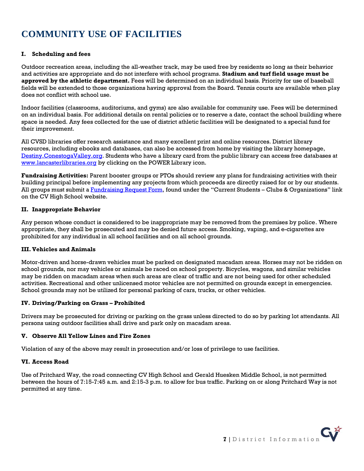# **COMMUNITY USE OF FACILITIES**

### **I. Scheduling and fees**

Outdoor recreation areas, including the all-weather track, may be used free by residents so long as their behavior and activities are appropriate and do not interfere with school programs. **Stadium and turf field usage must be approved by the athletic department.** Fees will be determined on an individual basis. Priority for use of baseball fields will be extended to those organizations having approval from the Board. Tennis courts are available when play does not conflict with school use.

Indoor facilities (classrooms, auditoriums, and gyms) are also available for community use. Fees will be determined on an individual basis. For additional details on rental policies or to reserve a date, contact the school building where space is needed. Any fees collected for the use of district athletic facilities will be designated to a special fund for their improvement.

All CVSD libraries offer research assistance and many excellent print and online resources. District library resources, including ebooks and databases, can also be accessed from home by visiting the library homepage, [Destiny.ConestogaValley.org.](http://destiny.conestogavalley.org/) Students who have a library card from the public library can access free databases at [www.lancasterlibraries.org](http://www.lancasterlibraries.org/) by clicking on the POWER Library icon.

**Fundraising Activities:** Parent booster groups or PTOs should review any plans for fundraising activities with their building principal before implementing any projects from which proceeds are directly raised for or by our students. All groups must submit a [Fundraising Request Form,](https://www.conestogavalley.org/cms/lib/PA02203609/Centricity/Domain/116/Fundraiser%20Request%20Form%202021-22.pdf) found under the "Current Students – Clubs & Organizations" link on the CV High School website.

#### **II. Inappropriate Behavior**

Any person whose conduct is considered to be inappropriate may be removed from the premises by police. Where appropriate, they shall be prosecuted and may be denied future access. Smoking, vaping, and e-cigarettes are prohibited for any individual in all school facilities and on all school grounds.

#### **III.Vehicles and Animals**

Motor-driven and horse-drawn vehicles must be parked on designated macadam areas. Horses may not be ridden on school grounds, nor may vehicles or animals be raced on school property. Bicycles, wagons, and similar vehicles may be ridden on macadam areas when such areas are clear of traffic and are not being used for other scheduled activities. Recreational and other unlicensed motor vehicles are not permitted on grounds except in emergencies. School grounds may not be utilized for personal parking of cars, trucks, or other vehicles.

#### **IV. Driving/Parking on Grass – Prohibited**

Drivers may be prosecuted for driving or parking on the grass unless directed to do so by parking lot attendants. All persons using outdoor facilities shall drive and park only on macadam areas.

#### **V. Observe All Yellow Lines and Fire Zones**

Violation of any of the above may result in prosecution and/or loss of privilege to use facilities.

#### **VI. Access Road**

Use of Pritchard Way, the road connecting CV High School and Gerald Huesken Middle School, is not permitted between the hours of 7:15-7:45 a.m. and 2:15-3 p.m. to allow for bus traffic. Parking on or along Pritchard Way is not permitted at any time.

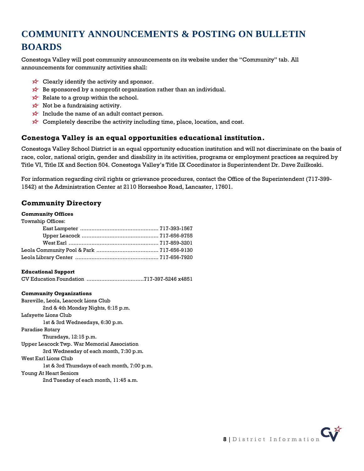# **COMMUNITY ANNOUNCEMENTS & POSTING ON BULLETIN BOARDS**

Conestoga Valley will post community announcements on its website under the "Community" tab. All announcements for community activities shall:

- $\overrightarrow{x}$  Clearly identify the activity and sponsor.
- $\overrightarrow{x}$  Be sponsored by a nonprofit organization rather than an individual.
- $\overrightarrow{x}$  Relate to a group within the school.
- $\overrightarrow{x}$  Not be a fundraising activity.
- Include the name of an adult contact person.
- $\overrightarrow{x}$  Completely describe the activity including time, place, location, and cost.

### **Conestoga Valley is an equal opportunities educational institution.**

Conestoga Valley School District is an equal opportunity education institution and will not discriminate on the basis of race, color, national origin, gender and disability in its activities, programs or employment practices as required by Title VI, Title IX and Section 504. Conestoga Valley's Title IX Coordinator is Superintendent Dr. Dave Zuilkoski.

For information regarding civil rights or grievance procedures, contact the Office of the Superintendent (717-399- 1542) at the Administration Center at 2110 Horseshoe Road, Lancaster, 17601.

## **Community Directory**

### **Community Offices**

| <b>Township Offices:</b> |  |
|--------------------------|--|
|                          |  |
|                          |  |
|                          |  |
|                          |  |
|                          |  |

#### **Educational Support**

CV Education Foundation ...................................717-397-5246 x4851

#### **Community Organizations**

Bareville, Leola, Leacock Lions Club 2nd & 4th Monday Nights, 6:15 p.m. Lafayette Lions Club 1st & 3rd Wednesdays, 6:30 p.m. Paradise Rotary Thursdays, 12:15 p.m. Upper Leacock Twp. War Memorial Association 3rd Wednesday of each month, 7:30 p.m. West Earl Lions Club 1st & 3rd Thursdays of each month, 7:00 p.m. Young At Heart Seniors

2nd Tuesday of each month, 11:45 a.m.

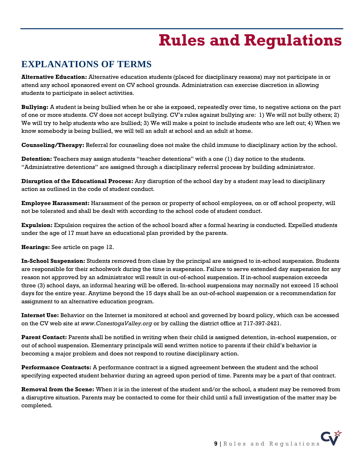# **Rules and Regulations**

## <span id="page-8-0"></span>**EXPLANATIONS OF TERMS**

**Alternative Education:** Alternative education students (placed for disciplinary reasons) may not participate in or attend any school sponsored event on CV school grounds. Administration can exercise discretion in allowing students to participate in select activities.

**Bullying:** A student is being bullied when he or she is exposed, repeatedly over time, to negative actions on the part of one or more students. CV does not accept bullying. CV's rules against bullying are: 1) We will not bully others; 2) We will try to help students who are bullied; 3) We will make a point to include students who are left out; 4) When we know somebody is being bullied, we will tell an adult at school and an adult at home.

**Counseling/Therapy:** Referral for counseling does not make the child immune to disciplinary action by the school.

**Detention:** Teachers may assign students "teacher detentions" with a one (1) day notice to the students. "Administrative detentions" are assigned through a disciplinary referral process by building administrator.

**Disruption of the Educational Process:** Any disruption of the school day by a student may lead to disciplinary action as outlined in the code of student conduct.

**Employee Harassment:** Harassment of the person or property of school employees, on or off school property, will not be tolerated and shall be dealt with according to the school code of student conduct.

**Expulsion:** Expulsion requires the action of the school board after a formal hearing is conducted. Expelled students under the age of 17 must have an educational plan provided by the parents.

**Hearings:** See article on page 12.

**In-School Suspension:** Students removed from class by the principal are assigned to in-school suspension. Students are responsible for their schoolwork during the time in suspension. Failure to serve extended day suspension for any reason not approved by an administrator will result in out-of-school suspension. If in-school suspension exceeds three (3) school days, an informal hearing will be offered. In-school suspensions may normally not exceed 15 school days for the entire year. Anytime beyond the 15 days shall be an out-of-school suspension or a recommendation for assignment to an alternative education program.

**Internet Use:** Behavior on the Internet is monitored at school and governed by board policy, which can be accessed on the CV web site at *www.ConestogaValley.org* or by calling the district office at 717-397-2421.

**Parent Contact:** Parents shall be notified in writing when their child is assigned detention, in-school suspension, or out of school suspension. Elementary principals will send written notice to parents if their child's behavior is becoming a major problem and does not respond to routine disciplinary action.

**Performance Contracts:** A performance contract is a signed agreement between the student and the school specifying expected student behavior during an agreed upon period of time. Parents may be a part of that contract.

**Removal from the Scene:** When it is in the interest of the student and/or the school, a student may be removed from a disruptive situation. Parents may be contacted to come for their child until a full investigation of the matter may be completed.

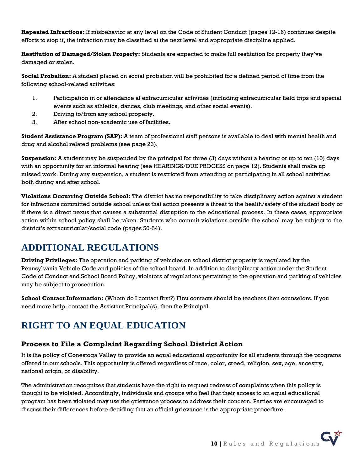**Repeated Infractions:** If misbehavior at any level on the Code of Student Conduct (pages 12-16) continues despite efforts to stop it, the infraction may be classified at the next level and appropriate discipline applied.

**Restitution of Damaged/Stolen Property:** Students are expected to make full restitution for property they've damaged or stolen.

**Social Probation:** A student placed on social probation will be prohibited for a defined period of time from the following school-related activities:

- 1. Participation in or attendance at extracurricular activities (including extracurricular field trips and special events such as athletics, dances, club meetings, and other social events).
- 2. Driving to/from any school property.
- 3. After school non-academic use of facilities.

**Student Assistance Program (SAP):** A team of professional staff persons is available to deal with mental health and drug and alcohol related problems (see page 23).

**Suspension:** A student may be suspended by the principal for three (3) days without a hearing or up to ten (10) days with an opportunity for an informal hearing (see HEARINGS/DUE PROCESS on page 12). Students shall make up missed work. During any suspension, a student is restricted from attending or participating in all school activities both during and after school.

**Violations Occurring Outside School:** The district has no responsibility to take disciplinary action against a student for infractions committed outside school unless that action presents a threat to the health/safety of the student body or if there is a direct nexus that causes a substantial disruption to the educational process. In these cases, appropriate action within school policy shall be taken. Students who commit violations outside the school may be subject to the district's extracurricular/social code (pages 50-54).

## **ADDITIONAL REGULATIONS**

**Driving Privileges:** The operation and parking of vehicles on school district property is regulated by the Pennsylvania Vehicle Code and policies of the school board. In addition to disciplinary action under the Student Code of Conduct and School Board Policy, violators of regulations pertaining to the operation and parking of vehicles may be subject to prosecution.

**School Contact Information:** (Whom do I contact first?) First contacts should be teachers then counselors. If you need more help, contact the Assistant Principal(s), then the Principal.

# **RIGHT TO AN EQUAL EDUCATION**

## **Process to File a Complaint Regarding School District Action**

It is the policy of Conestoga Valley to provide an equal educational opportunity for all students through the programs offered in our schools. This opportunity is offered regardless of race, color, creed, religion, sex, age, ancestry, national origin, or disability.

The administration recognizes that students have the right to request redress of complaints when this policy is thought to be violated. Accordingly, individuals and groups who feel that their access to an equal educational program has been violated may use the grievance process to address their concern. Parties are encouraged to discuss their differences before deciding that an official grievance is the appropriate procedure.

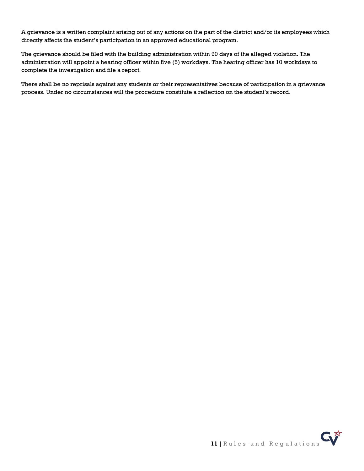A grievance is a written complaint arising out of any actions on the part of the district and/or its employees which directly affects the student's participation in an approved educational program.

The grievance should be filed with the building administration within 90 days of the alleged violation. The administration will appoint a hearing officer within five (5) workdays. The hearing officer has 10 workdays to complete the investigation and file a report.

There shall be no reprisals against any students or their representatives because of participation in a grievance process. Under no circumstances will the procedure constitute a reflection on the student's record.

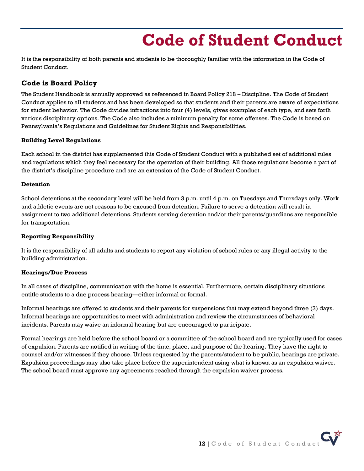# **Code of Student Conduct**

<span id="page-11-0"></span>It is the responsibility of both parents and students to be thoroughly familiar with the information in the Code of Student Conduct.

## **Code is Board Policy**

The Student Handbook is annually approved as referenced in Board Policy 218 – Discipline. The Code of Student Conduct applies to all students and has been developed so that students and their parents are aware of expectations for student behavior. The Code divides infractions into four (4) levels, gives examples of each type, and sets forth various disciplinary options. The Code also includes a minimum penalty for some offenses. The Code is based on Pennsylvania's Regulations and Guidelines for Student Rights and Responsibilities.

### **Building Level Regulations**

Each school in the district has supplemented this Code of Student Conduct with a published set of additional rules and regulations which they feel necessary for the operation of their building. All those regulations become a part of the district's discipline procedure and are an extension of the Code of Student Conduct.

#### **Detention**

School detentions at the secondary level will be held from 3 p.m. until 4 p.m. on Tuesdays and Thursdays only. Work and athletic events are not reasons to be excused from detention. Failure to serve a detention will result in assignment to two additional detentions. Students serving detention and/or their parents/guardians are responsible for transportation.

#### **Reporting Responsibility**

It is the responsibility of all adults and students to report any violation of school rules or any illegal activity to the building administration.

#### **Hearings/Due Process**

In all cases of discipline, communication with the home is essential. Furthermore, certain disciplinary situations entitle students to a due process hearing—either informal or formal.

Informal hearings are offered to students and their parents for suspensions that may extend beyond three (3) days. Informal hearings are opportunities to meet with administration and review the circumstances of behavioral incidents. Parents may waive an informal hearing but are encouraged to participate.

Formal hearings are held before the school board or a committee of the school board and are typically used for cases of expulsion. Parents are notified in writing of the time, place, and purpose of the hearing. They have the right to counsel and/or witnesses if they choose. Unless requested by the parents/student to be public, hearings are private. Expulsion proceedings may also take place before the superintendent using what is known as an expulsion waiver. The school board must approve any agreements reached through the expulsion waiver process.

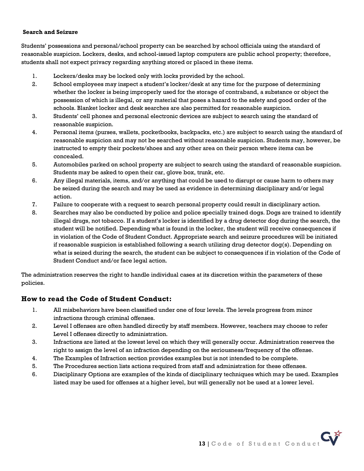#### **Search and Seizure**

Students' possessions and personal/school property can be searched by school officials using the standard of reasonable suspicion. Lockers, desks, and school-issued laptop computers are public school property; therefore, students shall not expect privacy regarding anything stored or placed in these items.

- 1. Lockers/desks may be locked only with locks provided by the school.
- 2. School employees may inspect a student's locker/desk at any time for the purpose of determining whether the locker is being improperly used for the storage of contraband, a substance or object the possession of which is illegal, or any material that poses a hazard to the safety and good order of the schools. Blanket locker and desk searches are also permitted for reasonable suspicion.
- 3. Students' cell phones and personal electronic devices are subject to search using the standard of reasonable suspicion.
- 4. Personal items (purses, wallets, pocketbooks, backpacks, etc.) are subject to search using the standard of reasonable suspicion and may not be searched without reasonable suspicion. Students may, however, be instructed to empty their pockets/shoes and any other area on their person where items can be concealed.
- 5. Automobiles parked on school property are subject to search using the standard of reasonable suspicion. Students may be asked to open their car, glove box, trunk, etc.
- 6. Any illegal materials, items, and/or anything that could be used to disrupt or cause harm to others may be seized during the search and may be used as evidence in determining disciplinary and/or legal action.
- 7. Failure to cooperate with a request to search personal property could result in disciplinary action.
- 8. Searches may also be conducted by police and police specially trained dogs. Dogs are trained to identify illegal drugs, not tobacco. If a student's locker is identified by a drug detector dog during the search, the student will be notified. Depending what is found in the locker, the student will receive consequences if in violation of the Code of Student Conduct. Appropriate search and seizure procedures will be initiated if reasonable suspicion is established following a search utilizing drug detector dog(s). Depending on what is seized during the search, the student can be subject to consequences if in violation of the Code of Student Conduct and/or face legal action.

The administration reserves the right to handle individual cases at its discretion within the parameters of these policies.

## **How to read the Code of Student Conduct:**

- 1. All misbehaviors have been classified under one of four levels. The levels progress from minor infractions through criminal offenses.
- 2. Level I offenses are often handled directly by staff members. However, teachers may choose to refer Level I offenses directly to administration.
- 3. Infractions are listed at the lowest level on which they will generally occur. Administration reserves the right to assign the level of an infraction depending on the seriousness/frequency of the offense.
- 4. The Examples of Infraction section provides examples but is not intended to be complete.
- 5. The Procedures section lists actions required from staff and administration for these offenses.
- 6. Disciplinary Options are examples of the kinds of disciplinary techniques which may be used. Examples listed may be used for offenses at a higher level, but will generally not be used at a lower level.

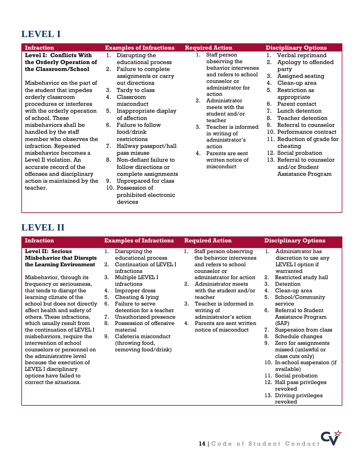# **LEVEL I**

| <b>Infraction</b>                                                                                                                                                                                                                                                                                                                                                                                                                                                                            | <b>Examples of Infractions</b>                                                                                                                                                                                                                                                                                                                                                                                                                  | <b>Required Action</b>                                                                                                                                                                                                                                                                                                                          | <b>Disciplinary Options</b>                                                                                                                                                                                                                                                                                                                                                                                                        |
|----------------------------------------------------------------------------------------------------------------------------------------------------------------------------------------------------------------------------------------------------------------------------------------------------------------------------------------------------------------------------------------------------------------------------------------------------------------------------------------------|-------------------------------------------------------------------------------------------------------------------------------------------------------------------------------------------------------------------------------------------------------------------------------------------------------------------------------------------------------------------------------------------------------------------------------------------------|-------------------------------------------------------------------------------------------------------------------------------------------------------------------------------------------------------------------------------------------------------------------------------------------------------------------------------------------------|------------------------------------------------------------------------------------------------------------------------------------------------------------------------------------------------------------------------------------------------------------------------------------------------------------------------------------------------------------------------------------------------------------------------------------|
| <b>Level I: Conflicts With</b><br>the Orderly Operation of<br>the Classroom/School<br>Misbehavior on the part of<br>the student that impedes<br>orderly classroom<br>procedures or interferes<br>with the orderly operation<br>of school. These<br>misbehaviors shall be<br>handled by the staff<br>member who observes the<br>infraction. Repeated<br>misbehavior becomes a<br>Level II violation. An<br>accurate record of the<br>offenses and disciplinary<br>action is maintained by the | Disrupting the<br>1.<br>educational process<br>Failure to complete<br>2.<br>assignments or carry<br>out directions<br>3.<br>Tardy to class<br>Classroom<br>4.<br>misconduct<br>5.<br>Inappropriate display<br>of affection<br>Failure to follow<br>6.<br>food/drink<br>restrictions<br>7.<br>Hallway passport/hall<br>pass misuse<br>Non-defiant failure to<br>8.<br>follow directions or<br>complete assignments<br>Unprepared for class<br>9. | Staff person<br>1.<br>observing the<br>behavior intervenes<br>and refers to school<br>counselor or<br>administrator for<br>action<br>2.<br>Administrator<br>meets with the<br>student and/or<br>teacher<br>3.<br>Teacher is informed<br>in writing of<br>administrator's<br>action<br>Parents are sent<br>4.<br>written notice of<br>misconduct | Verbal reprimand<br>1.<br>Apology to offended<br>2.<br>party<br>3.<br>Assigned seating<br>4.<br>Clean-up area<br>5.<br>Restriction as<br>appropriate<br>Parent contact<br>6.<br>7.<br>Lunch detention<br>8.<br>Teacher detention<br>Referral to counselor<br>9.<br>10. Performance contract<br>11. Reduction of grade for<br>cheating<br>12. Social probation<br>13. Referral to counselor<br>and/or Student<br>Assistance Program |
| teacher.                                                                                                                                                                                                                                                                                                                                                                                                                                                                                     | 10. Possession of<br>prohibited electronic<br>devices                                                                                                                                                                                                                                                                                                                                                                                           |                                                                                                                                                                                                                                                                                                                                                 |                                                                                                                                                                                                                                                                                                                                                                                                                                    |

# **LEVEL II**

| <b>Infraction</b>                                                                                                                                                                                                                                                                                                                                                                                                                                                                                |                                        | <b>Examples of Infractions</b>                                                                                                                                                                                                                          |                         | <b>Required Action</b>                                                                                                                                                                                      |                                              | <b>Disciplinary Options</b>                                                                                                                                                                                                                                                                                                                                |
|--------------------------------------------------------------------------------------------------------------------------------------------------------------------------------------------------------------------------------------------------------------------------------------------------------------------------------------------------------------------------------------------------------------------------------------------------------------------------------------------------|----------------------------------------|---------------------------------------------------------------------------------------------------------------------------------------------------------------------------------------------------------------------------------------------------------|-------------------------|-------------------------------------------------------------------------------------------------------------------------------------------------------------------------------------------------------------|----------------------------------------------|------------------------------------------------------------------------------------------------------------------------------------------------------------------------------------------------------------------------------------------------------------------------------------------------------------------------------------------------------------|
| Level II: Serious<br><b>Misbehavior that Disrupts</b><br>the Learning Environment                                                                                                                                                                                                                                                                                                                                                                                                                | 1.<br>2.                               | Disrupting the<br>educational process<br>Continuation of LEVEL I<br>infractions                                                                                                                                                                         | 1.                      | Staff person observing<br>the behavior intervenes<br>and refers to school<br>counselor or                                                                                                                   | 1.                                           | Administrator has<br>discretion to use any<br>LEVEL I option if<br>warranted                                                                                                                                                                                                                                                                               |
| Misbehavior, through its<br>frequency or seriousness,<br>that tends to disrupt the<br>learning climate of the<br>school but does not directly<br>affect health and safety of<br>others. These infractions,<br>which usually result from<br>the continuation of LEVEL I<br>misbehaviors, require the<br>intervention of school<br>counselors or personnel on<br>the administrative level<br>because the execution of<br>LEVEL I disciplinary<br>options have failed to<br>correct the situations. | 3.<br>4.<br>5.<br>6.<br>7.<br>8.<br>9. | Multiple LEVEL I<br>infractions<br>Improper dress<br>Cheating & lying<br>Failure to serve<br>detention for a teacher<br>Unauthorized presence<br>Possession of offensive<br>material<br>Cafeteria misconduct<br>(throwing food,<br>removing food/drink) | $2^{\circ}$<br>3.<br>4. | administrator for action<br>Administrator meets<br>with the student and/or<br>teacher<br>Teacher is informed in<br>writing of<br>administrator's action<br>Parents are sent written<br>notice of misconduct | 2.<br>3.<br>4.<br>5.<br>6.<br>7.<br>8.<br>9. | Restricted study hall<br>Detention<br>Clean-up area<br>School/Community<br>service<br>Referral to Student<br>Assistance Program<br>(SAP)<br>Suspension from class<br>Schedule changes<br>Zero for assignments<br>missed (unlawful or<br>class cuts only)<br>10. In-school suspension (if<br>available)<br>11. Social probation<br>12. Hall pass privileges |
|                                                                                                                                                                                                                                                                                                                                                                                                                                                                                                  |                                        |                                                                                                                                                                                                                                                         |                         |                                                                                                                                                                                                             |                                              | revoked<br>13. Driving privileges<br>revoked                                                                                                                                                                                                                                                                                                               |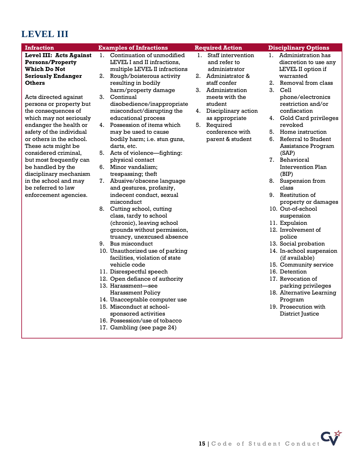# **LEVEL III**

| <b>Infraction</b>                                               | <b>Examples of Infractions</b>                                    |    | <b>Required Action</b>             |    | <b>Disciplinary Options</b>                 |
|-----------------------------------------------------------------|-------------------------------------------------------------------|----|------------------------------------|----|---------------------------------------------|
| <b>Level III: Acts Against</b><br>1.<br><b>Persons/Property</b> | Continuation of unmodified<br>LEVEL I and II infractions.         | 1. | Staff intervention<br>and refer to | 1. | Administration has<br>discretion to use any |
| <b>Which Do Not</b>                                             | multiple LEVEL II infractions                                     |    | administrator                      |    | LEVEL II option if                          |
| <b>Seriously Endanger</b>                                       | 2. Rough/boisterous activity                                      | 2. | Administrator &                    |    | warranted                                   |
| <b>Others</b>                                                   | resulting in bodily                                               |    | staff confer                       | 2. | Removal from class                          |
|                                                                 | harm/property damage                                              |    | 3. Administration                  | 3. | Cell                                        |
| Acts directed against                                           | 3. Continual                                                      |    | meets with the                     |    | phone/electronics                           |
| persons or property but                                         | disobedience/inappropriate                                        |    | student                            |    | restriction and/or                          |
| the consequences of                                             | misconduct/disrupting the                                         | 4. | Disciplinary action                |    | confiscation                                |
| which may not seriously                                         | educational process                                               |    | as appropriate                     |    | 4. Gold Card privileges                     |
| endanger the health or                                          | 4. Possession of items which                                      | 5. | Required                           |    | revoked                                     |
| safety of the individual                                        | may be used to cause                                              |    | conference with                    | 5. | Home instruction                            |
| or others in the school.                                        | bodily harm; i.e. stun guns,                                      |    | parent & student                   | 6. | Referral to Student                         |
| These acts might be                                             | darts, etc.                                                       |    |                                    |    | Assistance Program                          |
| considered criminal,                                            | 5. Acts of violence—fighting:                                     |    |                                    |    | (SAP)                                       |
| but most frequently can                                         | physical contact                                                  |    |                                    |    | 7. Behavioral                               |
| be handled by the                                               | 6. Minor vandalism;                                               |    |                                    |    | Intervention Plan                           |
| disciplinary mechanism                                          | trespassing; theft                                                |    |                                    |    | (BIP)                                       |
| in the school and may                                           | 7. Abusive/obscene language                                       |    |                                    |    | 8. Suspension from                          |
| be referred to law                                              | and gestures, profanity,                                          |    |                                    |    | class                                       |
| enforcement agencies.                                           | indecent conduct, sexual                                          |    |                                    |    | 9. Restitution of                           |
|                                                                 | misconduct                                                        |    |                                    |    | property or damages                         |
| 8.                                                              | Cutting school, cutting                                           |    |                                    |    | 10. Out-of-school                           |
|                                                                 | class, tardy to school                                            |    |                                    |    | suspension                                  |
|                                                                 | (chronic), leaving school                                         |    |                                    |    | 11. Expulsion                               |
|                                                                 | grounds without permission,                                       |    |                                    |    | 12. Involvement of                          |
|                                                                 | truancy, unexcused absence                                        |    |                                    |    | police                                      |
|                                                                 | 9. Bus misconduct                                                 |    |                                    |    | 13. Social probation                        |
|                                                                 | 10. Unauthorized use of parking<br>facilities, violation of state |    |                                    |    | 14. In-school suspension                    |
|                                                                 | vehicle code                                                      |    |                                    |    | (if available)<br>15. Community service     |
|                                                                 | 11. Disrespectful speech                                          |    |                                    |    | 16. Detention                               |
|                                                                 | 12. Open defiance of authority                                    |    |                                    |    | 17. Revocation of                           |
|                                                                 | 13. Harassment—see                                                |    |                                    |    | parking privileges                          |
|                                                                 | <b>Harassment Policy</b>                                          |    |                                    |    | 18. Alternative Learning                    |
|                                                                 | 14. Unacceptable computer use                                     |    |                                    |    | Program                                     |
|                                                                 | 15. Misconduct at school-                                         |    |                                    |    | 19. Prosecution with                        |
|                                                                 | sponsored activities                                              |    |                                    |    | District Justice                            |
|                                                                 | 16. Possession/use of tobacco                                     |    |                                    |    |                                             |
|                                                                 |                                                                   |    |                                    |    |                                             |

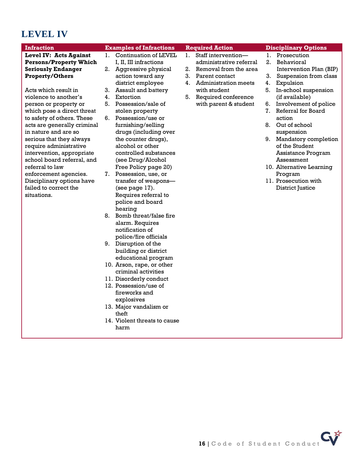# **LEVEL IV**

| <b>Infraction</b>             |    | <b>Examples of Infractions</b> |    | <b>Required Action</b>  |    | <b>Disciplinary Options</b> |
|-------------------------------|----|--------------------------------|----|-------------------------|----|-----------------------------|
| <b>Level IV: Acts Against</b> | 1. | Continuation of LEVEL          | 1. | Staff intervention-     |    | 1. Prosecution              |
| <b>Persons/Property Which</b> |    | I, II, III infractions         |    | administrative referral | 2. | Behavioral                  |
| <b>Seriously Endanger</b>     |    | 2. Aggressive physical         | 2. | Removal from the area   |    | Intervention Plan (BIP)     |
| <b>Property/Others</b>        |    | action toward any              |    | 3. Parent contact       | 3. | Suspension from class       |
|                               |    | district employee              |    | 4. Administration meets | 4. | Expulsion                   |
| Acts which result in          | 3. | Assault and battery            |    | with student            | 5. | In-school suspension        |
| violence to another's         | 4. | Extortion                      | 5. | Required conference     |    | (if available)              |
| person or property or         | 5. | Possession/sale of             |    | with parent & student   | 6. | Involvement of police       |
| which pose a direct threat    |    | stolen property                |    |                         | 7. | Referral for Board          |
| to safety of others. These    | 6. | Possession/use or              |    |                         |    | action                      |
| acts are generally criminal   |    | furnishing/selling             |    |                         | 8. | Out of school               |
| in nature and are so          |    | drugs (including over          |    |                         |    | suspension                  |
| serious that they always      |    | the counter drugs),            |    |                         | 9. | Mandatory completion        |
| require administrative        |    | alcohol or other               |    |                         |    | of the Student              |
| intervention, appropriate     |    | controlled substances          |    |                         |    | Assistance Program          |
| school board referral, and    |    | (see Drug/Alcohol              |    |                         |    | Assessment                  |
| referral to law               |    | Free Policy page 20)           |    |                         |    | 10. Alternative Learning    |
| enforcement agencies.         | 7. | Possession, use, or            |    |                         |    | Program                     |
| Disciplinary options have     |    | transfer of weapons-           |    |                         |    | 11. Prosecution with        |
| failed to correct the         |    | (see page 17).                 |    |                         |    | District Justice            |
| situations.                   |    | Requires referral to           |    |                         |    |                             |
|                               |    | police and board               |    |                         |    |                             |
|                               |    | hearing                        |    |                         |    |                             |
|                               |    | 8. Bomb threat/false fire      |    |                         |    |                             |
|                               |    | alarm. Requires                |    |                         |    |                             |
|                               |    | notification of                |    |                         |    |                             |
|                               |    | police/fire officials          |    |                         |    |                             |
|                               |    | 9. Disruption of the           |    |                         |    |                             |
|                               |    | building or district           |    |                         |    |                             |
|                               |    | educational program            |    |                         |    |                             |
|                               |    | 10. Arson, rape, or other      |    |                         |    |                             |
|                               |    | criminal activities            |    |                         |    |                             |
|                               |    | 11. Disorderly conduct         |    |                         |    |                             |
|                               |    | 12. Possession/use of          |    |                         |    |                             |
|                               |    | fireworks and                  |    |                         |    |                             |
|                               |    | explosives                     |    |                         |    |                             |
|                               |    | 13. Major vandalism or         |    |                         |    |                             |
|                               |    | theft                          |    |                         |    |                             |
|                               |    | 14. Violent threats to cause   |    |                         |    |                             |
|                               |    | harm                           |    |                         |    |                             |
|                               |    |                                |    |                         |    |                             |
|                               |    |                                |    |                         |    |                             |
|                               |    |                                |    |                         |    |                             |
|                               |    |                                |    |                         |    |                             |
|                               |    |                                |    |                         |    |                             |

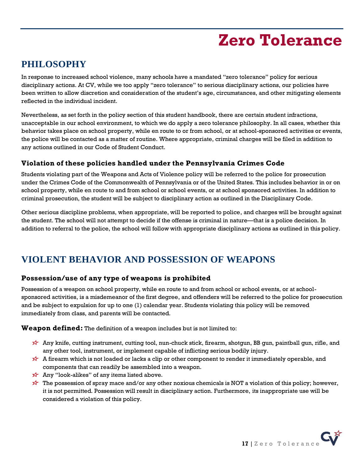# **Zero Tolerance**

## <span id="page-16-0"></span>**PHILOSOPHY**

In response to increased school violence, many schools have a mandated "zero tolerance" policy for serious disciplinary actions. At CV, while we too apply "zero tolerance" to serious disciplinary actions, our policies have been written to allow discretion and consideration of the student's age, circumstances, and other mitigating elements reflected in the individual incident.

Nevertheless, as set forth in the policy section of this student handbook, there are certain student infractions, unacceptable in our school environment, to which we do apply a zero tolerance philosophy. In all cases, whether this behavior takes place on school property, while en route to or from school, or at school-sponsored activities or events, the police will be contacted as a matter of routine. Where appropriate, criminal charges will be filed in addition to any actions outlined in our Code of Student Conduct.

## **Violation of these policies handled under the Pennsylvania Crimes Code**

Students violating part of the Weapons and Acts of Violence policy will be referred to the police for prosecution under the Crimes Code of the Commonwealth of Pennsylvania or of the United States. This includes behavior in or on school property, while en route to and from school or school events, or at school sponsored activities. In addition to criminal prosecution, the student will be subject to disciplinary action as outlined in the Disciplinary Code.

Other serious discipline problems, when appropriate, will be reported to police, and charges will be brought against the student. The school will not attempt to decide if the offense is criminal in nature—that is a police decision. In addition to referral to the police, the school will follow with appropriate disciplinary actions as outlined in this policy.

## **VIOLENT BEHAVIOR AND POSSESSION OF WEAPONS**

## **Possession/use of any type of weapons is prohibited**

Possession of a weapon on school property, while en route to and from school or school events, or at schoolsponsored activities, is a misdemeanor of the first degree, and offenders will be referred to the police for prosecution and be subject to expulsion for up to one (1) calendar year. Students violating this policy will be removed immediately from class, and parents will be contacted.

**Weapon defined:** The definition of a weapon includes but is not limited to:

- Any knife, cutting instrument, cutting tool, nun-chuck stick, firearm, shotgun, BB gun, paintball gun, rifle, and any other tool, instrument, or implement capable of inflicting serious bodily injury.
- A firearm which is not loaded or lacks a clip or other component to render it immediately operable, and components that can readily be assembled into a weapon.
- $\overrightarrow{x}$  Any "look-alikes" of any items listed above.
- The possession of spray mace and/or any other noxious chemicals is NOT a violation of this policy; however, it is not permitted. Possession will result in disciplinary action. Furthermore, its inappropriate use will be considered a violation of this policy.

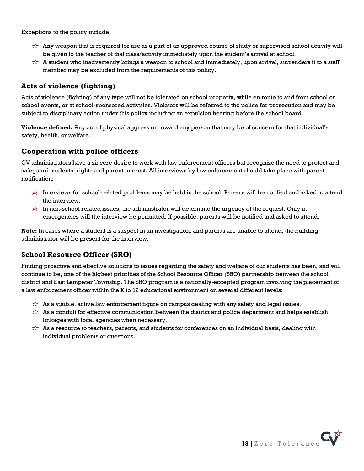Exceptions to the policy include:

- Any weapon that is required for use as a part of an approved course of study or supervised school activity will be given to the teacher of that class/activity immediately upon the student's arrival at school.
- A student who inadvertently brings a weapon to school and immediately, upon arrival, surrenders it to a staff member may be excluded from the requirements of this policy.

## **Acts of violence (fighting)**

Acts of violence (fighting) of any type will not be tolerated on school property, while en route to and from school or school events, or at school-sponsored activities. Violators will be referred to the police for prosecution and may be subject to disciplinary action under this policy including an expulsion hearing before the school board.

**Violence defined:** Any act of physical aggression toward any person that may be of concern for that individual's safety, health, or welfare.

## **Cooperation with police officers**

CV administrators have a sincere desire to work with law enforcement officers but recognize the need to protect and safeguard students' rights and parent interest. All interviews by law enforcement should take place with parent notification:

- Interviews for school-related problems may be held in the school. Parents will be notified and asked to attend the interview.
- In non-school related issues, the administrator will determine the urgency of the request. Only in emergencies will the interview be permitted. If possible, parents will be notified and asked to attend.

**Note:** In cases where a student is a suspect in an investigation, and parents are unable to attend, the building administrator will be present for the interview.

## **School Resource Officer (SRO)**

Finding proactive and effective solutions to issues regarding the safety and welfare of our students has been, and will continue to be, one of the highest priorities of the School Resource Officer (SRO) partnership between the school district and East Lampeter Township. The SRO program is a nationally-accepted program involving the placement of a law enforcement officer within the K to 12 educational environment on several different levels:

- As a visible, active law enforcement figure on campus dealing with any safety and legal issues.
- As a conduit for effective communication between the district and police department and helps establish linkages with local agencies when necessary.
- As a resource to teachers, parents, and students for conferences on an individual basis, dealing with individual problems or questions.

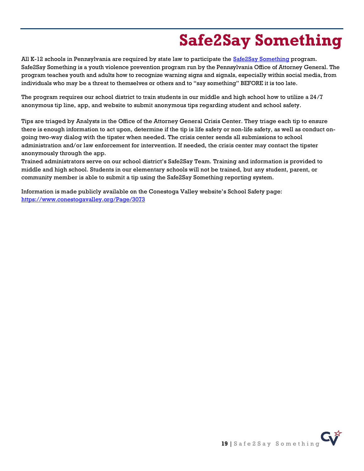# **Safe2Say Something**

<span id="page-18-0"></span>All K-12 schools in Pennsylvania are required by state law to participate the **Safe2Say Something program**. Safe2Say Something is a youth violence prevention program run by the Pennsylvania Office of Attorney General. The program teaches youth and adults how to recognize warning signs and signals, especially within social media, from individuals who may be a threat to themselves or others and to "say something" BEFORE it is too late.

The program requires our school district to train students in our middle and high school how to utilize a 24/7 anonymous tip line, app, and website to submit anonymous tips regarding student and school safety.

Tips are triaged by Analysts in the Office of the Attorney General Crisis Center. They triage each tip to ensure there is enough information to act upon, determine if the tip is life safety or non-life safety, as well as conduct ongoing two-way dialog with the tipster when needed. The crisis center sends all submissions to school administration and/or law enforcement for intervention. If needed, the crisis center may contact the tipster anonymously through the app.

Trained administrators serve on our school district's Safe2Say Team. Training and information is provided to middle and high school. Students in our elementary schools will not be trained, but any student, parent, or community member is able to submit a tip using the Safe2Say Something reporting system.

Information is made publicly available on the Conestoga Valley website's School Safety page: <https://www.conestogavalley.org/Page/3073>

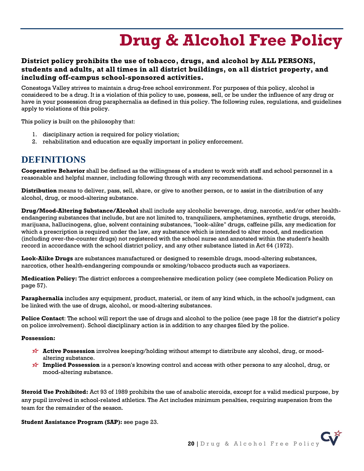# **Drug & Alcohol Free Policy**

## <span id="page-19-0"></span>**District policy prohibits the use of tobacco, drugs, and alcohol by ALL PERSONS, students and adults, at all times in all district buildings, on all district property, and including off-campus school-sponsored activities.**

Conestoga Valley strives to maintain a drug-free school environment. For purposes of this policy, alcohol is considered to be a drug. It is a violation of this policy to use, possess, sell, or be under the influence of any drug or have in your possession drug paraphernalia as defined in this policy. The following rules, regulations, and guidelines apply to violations of this policy.

This policy is built on the philosophy that:

- 1. disciplinary action is required for policy violation;
- 2. rehabilitation and education are equally important in policy enforcement.

## **DEFINITIONS**

**Cooperative Behavior** shall be defined as the willingness of a student to work with staff and school personnel in a reasonable and helpful manner, including following through with any recommendations.

**Distribution** means to deliver, pass, sell, share, or give to another person, or to assist in the distribution of any alcohol, drug, or mood-altering substance.

**Drug/Mood-Altering Substance/Alcohol** shall include any alcoholic beverage, drug, narcotic, and/or other healthendangering substances that include, but are not limited to, tranquilizers, amphetamines, synthetic drugs, steroids, marijuana, hallucinogens, glue, solvent containing substances, "look-alike" drugs, caffeine pills, any medication for which a prescription is required under the law, any substance which is intended to alter mood, and medication (including over-the-counter drugs) not registered with the school nurse and annotated within the student's health record in accordance with the school district policy, and any other substance listed in Act 64 (1972).

**Look-Alike Drugs** are substances manufactured or designed to resemble drugs, mood-altering substances, narcotics, other health-endangering compounds or smoking/tobacco products such as vaporizers.

**Medication Policy:** The district enforces a comprehensive medication policy (see complete Medication Policy on page 57).

**Paraphernalia** includes any equipment, product, material, or item of any kind which, in the school's judgment, can be linked with the use of drugs, alcohol, or mood-altering substances.

**Police Contact**: The school will report the use of drugs and alcohol to the police (see page 18 for the district's policy on police involvement). School disciplinary action is in addition to any charges filed by the police.

#### **Possession:**

- **Active Possession** involves keeping/holding without attempt to distribute any alcohol, drug, or moodaltering substance.
- **Implied Possession** is a person's knowing control and access with other persons to any alcohol, drug, or mood-altering substance.

**Steroid Use Prohibited:** Act 93 of 1989 prohibits the use of anabolic steroids, except for a valid medical purpose, by any pupil involved in school-related athletics. The Act includes minimum penalties, requiring suspension from the team for the remainder of the season.

#### **Student Assistance Program (SAP):** see page 23.

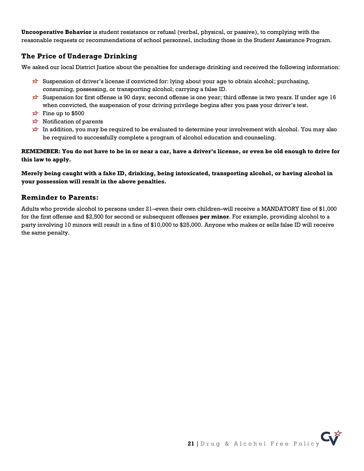**Uncooperative Behavior** is student resistance or refusal (verbal, physical, or passive), to complying with the reasonable requests or recommendations of school personnel, including those in the Student Assistance Program.

### **The Price of Underage Drinking**

We asked our local District Justice about the penalties for underage drinking and received the following information:

- Suspension of driver's license if convicted for: lying about your age to obtain alcohol; purchasing, consuming, possessing, or transporting alcohol; carrying a false ID.
- Suspension for first offense is 90 days; second offense is one year; third offense is two years. If under age 16 when convicted, the suspension of your driving privilege begins after you pass your driver's test.
- $\overrightarrow{x}$  Fine up to \$500
- $\overrightarrow{x}$  Notification of parents
- In addition, you may be required to be evaluated to determine your involvement with alcohol. You may also be required to successfully complete a program of alcohol education and counseling.

### **REMEMBER: You do not have to be in or near a car, have a driver's license, or even be old enough to drive for this law to apply.**

### **Merely being caught with a fake ID, drinking, being intoxicated, transporting alcohol, or having alcohol in your possession will result in the above penalties.**

### **Reminder to Parents:**

Adults who provide alcohol to persons under 21–even their own children–will receive a MANDATORY fine of \$1,000 for the first offense and \$2,500 for second or subsequent offenses **per minor**. For example, providing alcohol to a party involving 10 minors will result in a fine of \$10,000 to \$25,000. Anyone who makes or sells false ID will receive the same penalty.

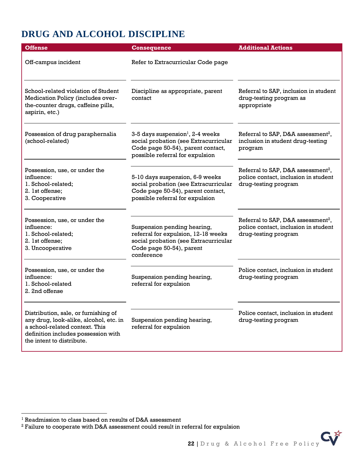# **DRUG AND ALCOHOL DISCIPLINE**

| <b>Offense</b>                                                                                                                                                                       | <b>Consequence</b>                                                                                                                                              | <b>Additional Actions</b>                                                                                      |
|--------------------------------------------------------------------------------------------------------------------------------------------------------------------------------------|-----------------------------------------------------------------------------------------------------------------------------------------------------------------|----------------------------------------------------------------------------------------------------------------|
| Off-campus incident                                                                                                                                                                  | Refer to Extracurricular Code page                                                                                                                              |                                                                                                                |
| School-related violation of Student<br>Medication Policy (includes over-<br>the-counter drugs, caffeine pills,<br>aspirin, etc.)                                                     | Discipline as appropriate, parent<br>contact                                                                                                                    | Referral to SAP, inclusion in student<br>drug-testing program as<br>appropriate                                |
| Possession of drug paraphernalia<br>(school-related)                                                                                                                                 | $3-5$ days suspension <sup>1</sup> , 2-4 weeks<br>social probation (see Extracurricular<br>Code page 50-54), parent contact,<br>possible referral for expulsion | Referral to SAP, D&A assessment <sup>2</sup> ,<br>inclusion in student drug-testing<br>program                 |
| Possession, use, or under the<br>influence:<br>1. School-related:<br>2. 1st offense;<br>3. Cooperative                                                                               | 5-10 days suspension, 6-9 weeks<br>social probation (see Extracurricular<br>Code page 50-54), parent contact,<br>possible referral for expulsion                | Referral to SAP, D&A assessment <sup>2</sup> ,<br>police contact, inclusion in student<br>drug-testing program |
| Possession, use, or under the<br>influence:<br>1. School-related;<br>2. 1st offense;<br>3. Uncooperative                                                                             | Suspension pending hearing,<br>referral for expulsion, 12-18 weeks<br>social probation (see Extracurricular<br>Code page 50-54), parent<br>conference           | Referral to SAP, D&A assessment <sup>2</sup> ,<br>police contact, inclusion in student<br>drug-testing program |
| Possession, use, or under the<br>influence:<br>1. School-related<br>2. 2nd offense                                                                                                   | Suspension pending hearing,<br>referral for expulsion                                                                                                           | Police contact, inclusion in student<br>drug-testing program                                                   |
| Distribution, sale, or furnishing of<br>any drug, look-alike, alcohol, etc. in<br>a school-related context. This<br>definition includes possession with<br>the intent to distribute. | Suspension pending hearing,<br>referral for expulsion                                                                                                           | Police contact, inclusion in student<br>drug-testing program                                                   |

<sup>2</sup> Failure to cooperate with D&A assessment could result in referral for expulsion



<sup>1</sup> Readmission to class based on results of D&A assessment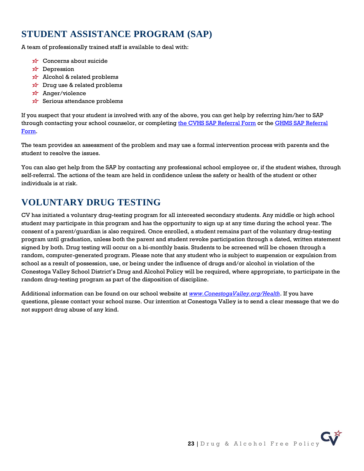## **STUDENT ASSISTANCE PROGRAM (SAP)**

A team of professionally trained staff is available to deal with:

- $\overrightarrow{x}$  Concerns about suicide
- $x +$ Depression
- $\overrightarrow{X}$  Alcohol & related problems
- $\overrightarrow{x}$  Drug use & related problems
- Anger/violence
- $\overrightarrow{x}$  Serious attendance problems

If you suspect that your student is involved with any of the above, you can get help by referring him/her to SAP through contacting your school counselor, or completin[g the CVHS SAP Referral Form](https://docs.google.com/a/conestogavalley.org/forms/d/1A0pW4BoauvWjTPhTTalPclHkhbdMCCODlQl0yweHLIQ/viewform?c=0&w=1) or the GHMS SAP Referral [Form.](https://www.conestogavalley.org/Page/1601)

The team provides an assessment of the problem and may use a formal intervention process with parents and the student to resolve the issues.

You can also get help from the SAP by contacting any professional school employee or, if the student wishes, through self-referral. The actions of the team are held in confidence unless the safety or health of the student or other individuals is at risk.

## **VOLUNTARY DRUG TESTING**

CV has initiated a voluntary drug-testing program for all interested secondary students. Any middle or high school student may participate in this program and has the opportunity to sign up at any time during the school year. The consent of a parent/guardian is also required. Once enrolled, a student remains part of the voluntary drug-testing program until graduation, unless both the parent and student revoke participation through a dated, written statement signed by both. Drug testing will occur on a bi-monthly basis. Students to be screened will be chosen through a random, computer-generated program. Please note that any student who is subject to suspension or expulsion from school as a result of possession, use, or being under the influence of drugs and/or alcohol in violation of the Conestoga Valley School District's Drug and Alcohol Policy will be required, where appropriate, to participate in the random drug-testing program as part of the disposition of discipline.

Additional information can be found on our school website at *[www.ConestogaValley.org/Health](http://www.conestogavalley.org/Health)*. If you have questions, please contact your school nurse. Our intention at Conestoga Valley is to send a clear message that we do not support drug abuse of any kind.

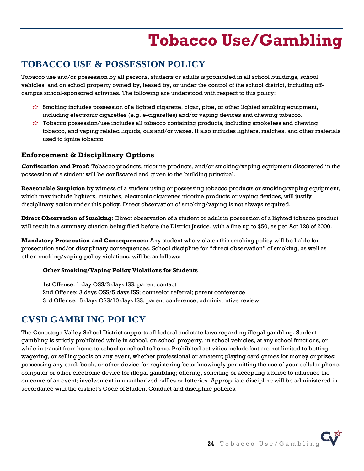# **Tobacco Use/Gambling**

## <span id="page-23-0"></span>**TOBACCO USE & POSSESSION POLICY**

Tobacco use and/or possession by all persons, students or adults is prohibited in all school buildings, school vehicles, and on school property owned by, leased by, or under the control of the school district, including offcampus school-sponsored activities. The following are understood with respect to this policy:

- $\overleftrightarrow{\mathbf{x}}$  Smoking includes possession of a lighted cigarette, cigar, pipe, or other lighted smoking equipment, including electronic cigarettes (e.g. e-cigarettes) and/or vaping devices and chewing tobacco.
- $\overleftrightarrow{\lambda}$  Tobacco possession/use includes all tobacco containing products, including smokeless and chewing tobacco, and vaping related liquids, oils and/or waxes. It also includes lighters, matches, and other materials used to ignite tobacco.

### **Enforcement & Disciplinary Options**

**Confiscation and Proof:** Tobacco products, nicotine products, and/or smoking/vaping equipment discovered in the possession of a student will be confiscated and given to the building principal.

**Reasonable Suspicion** by witness of a student using or possessing tobacco products or smoking/vaping equipment, which may include lighters, matches, electronic cigarettes nicotine products or vaping devices, will justify disciplinary action under this policy. Direct observation of smoking/vaping is not always required.

**Direct Observation of Smoking:** Direct observation of a student or adult in possession of a lighted tobacco product will result in a summary citation being filed before the District Justice, with a fine up to \$50, as per Act 128 of 2000.

**Mandatory Prosecution and Consequences:** Any student who violates this smoking policy will be liable for prosecution and/or disciplinary consequences. School discipline for "direct observation" of smoking, as well as other smoking/vaping policy violations, will be as follows:

### **Other Smoking/Vaping Policy Violations for Students**

1st Offense: 1 day OSS/3 days ISS; parent contact 2nd Offense: 3 days OSS/5 days ISS; counselor referral; parent conference 3rd Offense: 5 days OSS/10 days ISS; parent conference; administrative review

## **CVSD GAMBLING POLICY**

The Conestoga Valley School District supports all federal and state laws regarding illegal gambling. Student gambling is strictly prohibited while in school, on school property, in school vehicles, at any school functions, or while in transit from home to school or school to home. Prohibited activities include but are not limited to betting, wagering, or selling pools on any event, whether professional or amateur; playing card games for money or prizes; possessing any card, book, or other device for registering bets; knowingly permitting the use of your cellular phone, computer or other electronic device for illegal gambling; offering, soliciting or accepting a bribe to influence the outcome of an event; involvement in unauthorized raffles or lotteries. Appropriate discipline will be administered in accordance with the district's Code of Student Conduct and discipline policies.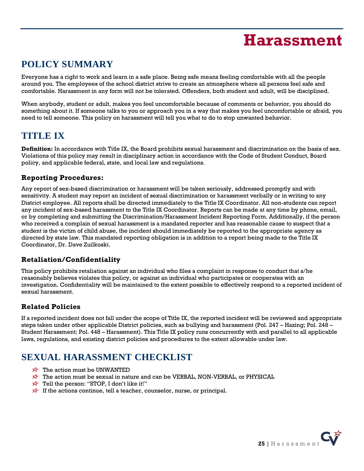# **Harassment**

# <span id="page-24-0"></span>**POLICY SUMMARY**

Everyone has a right to work and learn in a safe place. Being safe means feeling comfortable with all the people around you. The employees of the school district strive to create an atmosphere where all persons feel safe and comfortable. Harassment in any form will not be tolerated. Offenders, both student and adult, will be disciplined.

When anybody, student or adult, makes you feel uncomfortable because of comments or behavior, you should do something about it. If someone talks to you or approach you in a way that makes you feel uncomfortable or afraid, you need to tell someone. This policy on harassment will tell you what to do to stop unwanted behavior.

## **TITLE IX**

**Definition:** In accordance with Title IX, the Board prohibits sexual harassment and discrimination on the basis of sex. Violations of this policy may result in disciplinary action in accordance with the Code of Student Conduct, Board policy, and applicable federal, state, and local law and regulations.

## **Reporting Procedures:**

Any report of sex-based discrimination or harassment will be taken seriously, addressed promptly and with sensitivity. A student may report an incident of sexual discrimination or harassment verbally or in writing to any District employee. All reports shall be directed immediately to the Title IX Coordinator. All non-students can report any incident of sex-based harassment to the Title IX Coordinator. Reports can be made at any time by phone, email, or by completing and submitting the Discrimination/Harassment Incident Reporting Form. Additionally, if the person who received a complain of sexual harassment is a mandated reporter and has reasonable cause to suspect that a student is the victim of child abuse, the incident should immediately be reported to the appropriate agency as directed by state law. This mandated reporting obligation is in addition to a report being made to the Title IX Coordinator, Dr. Dave Zuilkoski.

## **Retaliation/Confidentiality**

This policy prohibits retaliation against an individual who files a complaint in response to conduct that s/he reasonably believes violates this policy, or against an individual who participates or cooperates with an investigation. Confidentiality will be maintained to the extent possible to effectively respond to a reported incident of sexual harassment.

## **Related Policies**

If a reported incident does not fall under the scope of Title IX, the reported incident will be reviewed and appropriate steps taken under other applicable District policies, such as bullying and harassment (Pol. 247 – Hazing; Pol. 248 – Student Harassment; Pol. 448 – Harassment). This Title IX policy runs concurrently with and parallel to all applicable laws, regulations, and existing district policies and procedures to the extent allowable under law.

# **SEXUAL HARASSMENT CHECKLIST**

- $\overrightarrow{x}$  The action must be UNWANTED
- $\overleftrightarrow{\star}$  The action must be sexual in nature and can be VERBAL, NON-VERBAL, or PHYSICAL
- $\overrightarrow{x}$  Tell the person: "STOP, I don't like it!"
- $\overrightarrow{x}$  If the actions continue, tell a teacher, counselor, nurse, or principal.

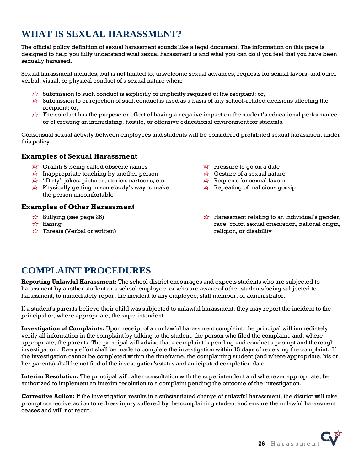# **WHAT IS SEXUAL HARASSMENT?**

The official policy definition of sexual harassment sounds like a legal document. The information on this page is designed to help you fully understand what sexual harassment is and what you can do if you feel that you have been sexually harassed.

Sexual harassment includes, but is not limited to, unwelcome sexual advances, requests for sexual favors, and other verbal, visual, or physical conduct of a sexual nature when:

- $\overleftrightarrow{\mathbf{x}}$  Submission to such conduct is explicitly or implicitly required of the recipient; or,
- Submission to or rejection of such conduct is used as a basis of any school-related decisions affecting the recipient; or,
- The conduct has the purpose or effect of having a negative impact on the student's educational performance or of creating an intimidating, hostile, or offensive educational environment for students.

Consensual sexual activity between employees and students will be considered prohibited sexual harassment under this policy.

### **Examples of Sexual Harassment**

- $\overrightarrow{x}$  Graffiti & being called obscene names
- Inappropriate touching by another person
- $\overrightarrow{x}$  "Dirty" jokes, pictures, stories, cartoons, etc.
- $\overrightarrow{x}$  Physically getting in somebody's way to make the person uncomfortable

### **Examples of Other Harassment**

- $\overrightarrow{x}$  Bullying (see page 26)
- $\overrightarrow{2}$  Hazing
- $\overrightarrow{x}$  Threats (Verbal or written)
- $\overrightarrow{x}$  Pressure to go on a date
- $\overrightarrow{x}$  Gesture of a sexual nature
- $\overrightarrow{X}$  Requests for sexual favors
- $\overrightarrow{X}$  Repeating of malicious gossip
- $\overrightarrow{x}$  Harassment relating to an individual's gender, race, color, sexual orientation, national origin, religion, or disability

## **COMPLAINT PROCEDURES**

**Reporting Unlawful Harassment:** The school district encourages and expects students who are subjected to harassment by another student or a school employee, or who are aware of other students being subjected to harassment, to immediately report the incident to any employee, staff member, or administrator.

If a student's parents believe their child was subjected to unlawful harassment, they may report the incident to the principal or, where appropriate, the superintendent.

**Investigation of Complaints:** Upon receipt of an unlawful harassment complaint, the principal will immediately verify all information in the complaint by talking to the student, the person who filed the complaint, and, where appropriate, the parents. The principal will advise that a complaint is pending and conduct a prompt and thorough investigation. Every effort shall be made to complete the investigation within 15 days of receiving the complaint. If the investigation cannot be completed within the timeframe, the complaining student (and where appropriate, his or her parents) shall be notified of the investigation's status and anticipated completion date.

**Interim Resolution:** The principal will, after consultation with the superintendent and whenever appropriate, be authorized to implement an interim resolution to a complaint pending the outcome of the investigation.

**Corrective Action:** If the investigation results in a substantiated charge of unlawful harassment, the district will take prompt corrective action to redress injury suffered by the complaining student and ensure the unlawful harassment ceases and will not recur.

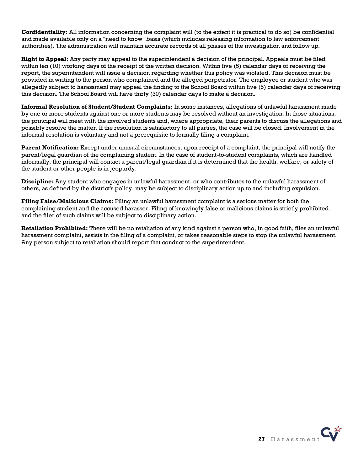**Confidentiality:** All information concerning the complaint will (to the extent it is practical to do so) be confidential and made available only on a "need to know" basis (which includes releasing information to law enforcement authorities). The administration will maintain accurate records of all phases of the investigation and follow up.

**Right to Appeal:** Any party may appeal to the superintendent a decision of the principal. Appeals must be filed within ten (10) working days of the receipt of the written decision. Within five (5) calendar days of receiving the report, the superintendent will issue a decision regarding whether this policy was violated. This decision must be provided in writing to the person who complained and the alleged perpetrator. The employee or student who was allegedly subject to harassment may appeal the finding to the School Board within five (5) calendar days of receiving this decision. The School Board will have thirty (30) calendar days to make a decision.

**Informal Resolution of Student/Student Complaints:** In some instances, allegations of unlawful harassment made by one or more students against one or more students may be resolved without an investigation. In those situations, the principal will meet with the involved students and, where appropriate, their parents to discuss the allegations and possibly resolve the matter. If the resolution is satisfactory to all parties, the case will be closed. Involvement in the informal resolution is voluntary and not a prerequisite to formally filing a complaint.

**Parent Notification:** Except under unusual circumstances, upon receipt of a complaint, the principal will notify the parent/legal guardian of the complaining student. In the case of student-to-student complaints, which are handled informally, the principal will contact a parent/legal guardian if it is determined that the health, welfare, or safety of the student or other people is in jeopardy.

**Discipline:** Any student who engages in unlawful harassment, or who contributes to the unlawful harassment of others, as defined by the district's policy, may be subject to disciplinary action up to and including expulsion.

**Filing False/Malicious Claims:** Filing an unlawful harassment complaint is a serious matter for both the complaining student and the accused harasser. Filing of knowingly false or malicious claims is strictly prohibited, and the filer of such claims will be subject to disciplinary action.

**Retaliation Prohibited:** There will be no retaliation of any kind against a person who, in good faith, files an unlawful harassment complaint, assists in the filing of a complaint, or takes reasonable steps to stop the unlawful harassment. Any person subject to retaliation should report that conduct to the superintendent.

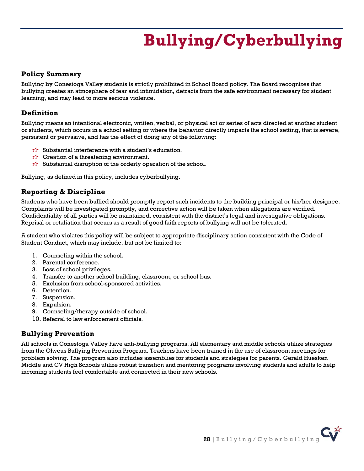# **Bullying/Cyberbullying**

### <span id="page-27-0"></span>**Policy Summary**

Bullying by Conestoga Valley students is strictly prohibited in School Board policy. The Board recognizes that bullying creates an atmosphere of fear and intimidation, detracts from the safe environment necessary for student learning, and may lead to more serious violence.

## **Definition**

Bullying means an intentional electronic, written, verbal, or physical act or series of acts directed at another student or students, which occurs in a school setting or where the behavior directly impacts the school setting, that is severe, persistent or pervasive, and has the effect of doing any of the following:

- $\hat{\mathbf{x}}$  Substantial interference with a student's education.
- $\overrightarrow{x}$  Creation of a threatening environment.
- $\overrightarrow{x}$  Substantial disruption of the orderly operation of the school.

Bullying, as defined in this policy, includes cyberbullying.

## **Reporting & Discipline**

Students who have been bullied should promptly report such incidents to the building principal or his/her designee. Complaints will be investigated promptly, and corrective action will be taken when allegations are verified. Confidentiality of all parties will be maintained, consistent with the district's legal and investigative obligations. Reprisal or retaliation that occurs as a result of good faith reports of bullying will not be tolerated.

A student who violates this policy will be subject to appropriate disciplinary action consistent with the Code of Student Conduct, which may include, but not be limited to:

- 1. Counseling within the school.
- 2. Parental conference.
- 3. Loss of school privileges.
- 4. Transfer to another school building, classroom, or school bus.
- 5. Exclusion from school-sponsored activities.
- 6. Detention.
- 7. Suspension.
- 8. Expulsion.
- 9. Counseling/therapy outside of school.
- 10. Referral to law enforcement officials.

### **Bullying Prevention**

All schools in Conestoga Valley have anti-bullying programs. All elementary and middle schools utilize strategies from the Olweus Bullying Prevention Program. Teachers have been trained in the use of classroom meetings for problem solving. The program also includes assemblies for students and strategies for parents. Gerald Huesken Middle and CV High Schools utilize robust transition and mentoring programs involving students and adults to help incoming students feel comfortable and connected in their new schools.

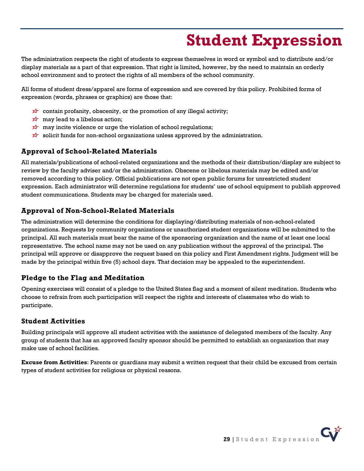# **Student Expression**

<span id="page-28-0"></span>The administration respects the right of students to express themselves in word or symbol and to distribute and/or display materials as a part of that expression. That right is limited, however, by the need to maintain an orderly school environment and to protect the rights of all members of the school community.

All forms of student dress/apparel are forms of expression and are covered by this policy. Prohibited forms of expression (words, phrases or graphics) are those that:

- $\overrightarrow{x}$  contain profanity, obscenity, or the promotion of any illegal activity;
- $\overrightarrow{x}$  may lead to a libelous action;
- $\overrightarrow{x}$  may incite violence or urge the violation of school regulations;
- $\overleftrightarrow{\mathbf{x}}$  solicit funds for non-school organizations unless approved by the administration.

## **Approval of School-Related Materials**

All materials/publications of school-related organizations and the methods of their distribution/display are subject to review by the faculty adviser and/or the administration. Obscene or libelous materials may be edited and/or removed according to this policy. Official publications are not open public forums for unrestricted student expression. Each administrator will determine regulations for students' use of school equipment to publish approved student communications. Students may be charged for materials used.

## **Approval of Non-School-Related Materials**

The administration will determine the conditions for displaying/distributing materials of non-school-related organizations. Requests by community organizations or unauthorized student organizations will be submitted to the principal. All such materials must bear the name of the sponsoring organization and the name of at least one local representative. The school name may not be used on any publication without the approval of the principal. The principal will approve or disapprove the request based on this policy and First Amendment rights. Judgment will be made by the principal within five (5) school days. That decision may be appealed to the superintendent.

## **Pledge to the Flag and Meditation**

Opening exercises will consist of a pledge to the United States flag and a moment of silent meditation. Students who choose to refrain from such participation will respect the rights and interests of classmates who do wish to participate.

## **Student Activities**

Building principals will approve all student activities with the assistance of delegated members of the faculty. Any group of students that has an approved faculty sponsor should be permitted to establish an organization that may make use of school facilities.

**Excuse from Activities**: Parents or guardians may submit a written request that their child be excused from certain types of student activities for religious or physical reasons.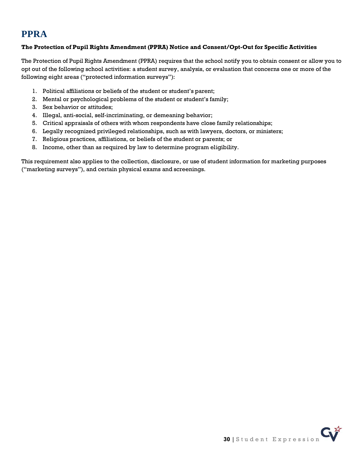## **PPRA**

### **The Protection of Pupil Rights Amendment (PPRA) Notice and Consent/Opt-Out for Specific Activities**

The Protection of Pupil Rights Amendment (PPRA) requires that the school notify you to obtain consent or allow you to opt out of the following school activities: a student survey, analysis, or evaluation that concerns one or more of the following eight areas ("protected information surveys"):

- 1. Political affiliations or beliefs of the student or student's parent;
- 2. Mental or psychological problems of the student or student's family;
- 3. Sex behavior or attitudes;
- 4. Illegal, anti-social, self-incriminating, or demeaning behavior;
- 5. Critical appraisals of others with whom respondents have close family relationships;
- 6. Legally recognized privileged relationships, such as with lawyers, doctors, or ministers;
- 7. Religious practices, affiliations, or beliefs of the student or parents; or
- 8. Income, other than as required by law to determine program eligibility.

This requirement also applies to the collection, disclosure, or use of student information for marketing purposes ("marketing surveys"), and certain physical exams and screenings.

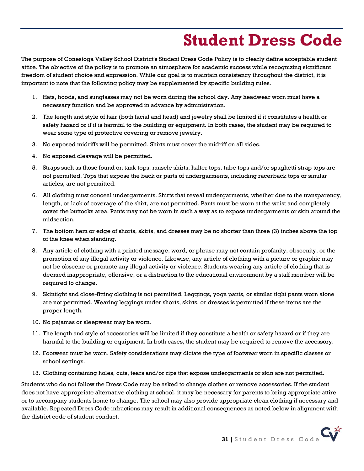# **Student Dress Code**

<span id="page-30-0"></span>The purpose of Conestoga Valley School District's Student Dress Code Policy is to clearly define acceptable student attire. The objective of the policy is to promote an atmosphere for academic success while recognizing significant freedom of student choice and expression. While our goal is to maintain consistency throughout the district, it is important to note that the following policy may be supplemented by specific building rules.

- 1. Hats, hoods, and sunglasses may not be worn during the school day. Any headwear worn must have a necessary function and be approved in advance by administration.
- 2. The length and style of hair (both facial and head) and jewelry shall be limited if it constitutes a health or safety hazard or if it is harmful to the building or equipment. In both cases, the student may be required to wear some type of protective covering or remove jewelry.
- 3. No exposed midriffs will be permitted. Shirts must cover the midriff on all sides.
- 4. No exposed cleavage will be permitted.
- 5. Straps such as those found on tank tops, muscle shirts, halter tops, tube tops and/or spaghetti strap tops are not permitted. Tops that expose the back or parts of undergarments, including racerback tops or similar articles, are not permitted.
- 6. All clothing must conceal undergarments. Shirts that reveal undergarments, whether due to the transparency, length, or lack of coverage of the shirt, are not permitted. Pants must be worn at the waist and completely cover the buttocks area. Pants may not be worn in such a way as to expose undergarments or skin around the midsection.
- 7. The bottom hem or edge of shorts, skirts, and dresses may be no shorter than three (3) inches above the top of the knee when standing.
- 8. Any article of clothing with a printed message, word, or phrase may not contain profanity, obscenity, or the promotion of any illegal activity or violence. Likewise, any article of clothing with a picture or graphic may not be obscene or promote any illegal activity or violence. Students wearing any article of clothing that is deemed inappropriate, offensive, or a distraction to the educational environment by a staff member will be required to change.
- 9. Skintight and close-fitting clothing is not permitted. Leggings, yoga pants, or similar tight pants worn alone are not permitted. Wearing leggings under shorts, skirts, or dresses is permitted if these items are the proper length.
- 10. No pajamas or sleepwear may be worn.
- 11. The length and style of accessories will be limited if they constitute a health or safety hazard or if they are harmful to the building or equipment. In both cases, the student may be required to remove the accessory.
- 12. Footwear must be worn. Safety considerations may dictate the type of footwear worn in specific classes or school settings.
- 13. Clothing containing holes, cuts, tears and/or rips that expose undergarments or skin are not permitted.

Students who do not follow the Dress Code may be asked to change clothes or remove accessories. If the student does not have appropriate alternative clothing at school, it may be necessary for parents to bring appropriate attire or to accompany students home to change. The school may also provide appropriate clean clothing if necessary and available. Repeated Dress Code infractions may result in additional consequences as noted below in alignment with the district code of student conduct.

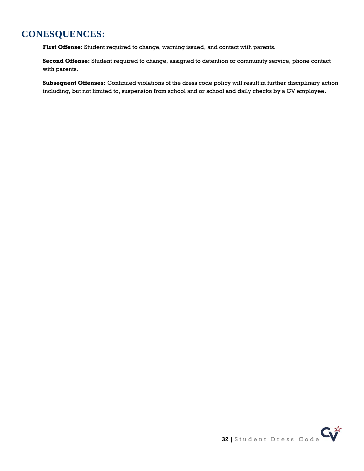## **CONESQUENCES:**

**First Offense:** Student required to change, warning issued, and contact with parents.

**Second Offense:** Student required to change, assigned to detention or community service, phone contact with parents.

**Subsequent Offenses:** Continued violations of the dress code policy will result in further disciplinary action including, but not limited to, suspension from school and or school and daily checks by a CV employee.

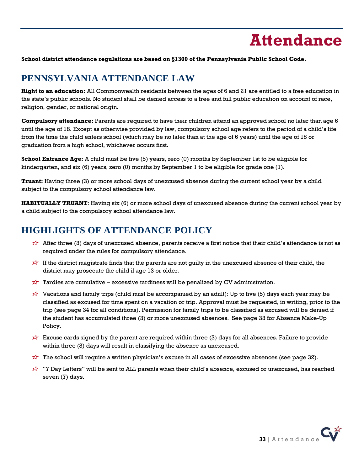

<span id="page-32-0"></span>**School district attendance regulations are based on §1300 of the Pennsylvania Public School Code.**

## **PENNSYLVANIA ATTENDANCE LAW**

**Right to an education:** All Commonwealth residents between the ages of 6 and 21 are entitled to a free education in the state's public schools. No student shall be denied access to a free and full public education on account of race, religion, gender, or national origin.

**Compulsory attendance:** Parents are required to have their children attend an approved school no later than age 6 until the age of 18. Except as otherwise provided by law, compulsory school age refers to the period of a child's life from the time the child enters school (which may be no later than at the age of 6 years) until the age of 18 or graduation from a high school, whichever occurs first.

**School Entrance Age:** A child must be five (5) years, zero (0) months by September 1st to be eligible for kindergarten, and six (6) years, zero (0) months by September 1 to be eligible for grade one (1).

**Truant:** Having three (3) or more school days of unexcused absence during the current school year by a child subject to the compulsory school attendance law.

**HABITUALLY TRUANT**: Having six (6) or more school days of unexcused absence during the current school year by a child subject to the compulsory school attendance law.

## **HIGHLIGHTS OF ATTENDANCE POLICY**

- After three (3) days of unexcused absence, parents receive a first notice that their child's attendance is not as required under the rules for compulsory attendance.
- If the district magistrate finds that the parents are not guilty in the unexcused absence of their child, the district may prosecute the child if age 13 or older.
- $\overleftrightarrow{\mathbf{r}}$  Tardies are cumulative excessive tardiness will be penalized by CV administration.
- $\overrightarrow{x}$  Vacations and family trips (child must be accompanied by an adult): Up to five (5) days each year may be classified as excused for time spent on a vacation or trip. Approval must be requested, in writing, prior to the trip (see page 34 for all conditions). Permission for family trips to be classified as excused will be denied if the student has accumulated three (3) or more unexcused absences. See page 33 for Absence Make-Up Policy.
- $\overleftrightarrow{\mathbf{r}}$  Excuse cards signed by the parent are required within three (3) days for all absences. Failure to provide within three (3) days will result in classifying the absence as unexcused.
- $\overleftrightarrow{r}$  The school will require a written physician's excuse in all cases of excessive absences (see page 32).
- "7 Day Letters" will be sent to ALL parents when their child's absence, excused or unexcused, has reached seven (7) days.

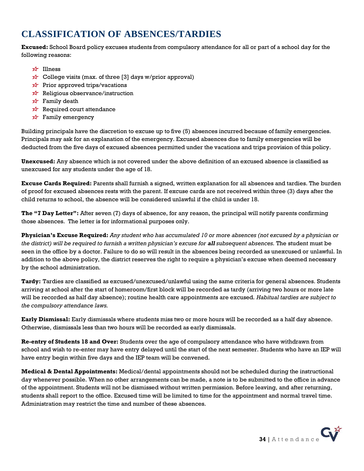## **CLASSIFICATION OF ABSENCES/TARDIES**

**Excused:** School Board policy excuses students from compulsory attendance for all or part of a school day for the following reasons:

- **x<sup>∤</sup>** Illness
- $\overrightarrow{x}$  College visits (max. of three [3] days w/prior approval)
- $\overrightarrow{x}$  Prior approved trips/vacations
- $\overrightarrow{x}$  Religious observance/instruction
- $\overrightarrow{x}$  Family death
- $\overrightarrow{x}$  Required court attendance
- $\overrightarrow{P}$  Family emergency

Building principals have the discretion to excuse up to five (5) absences incurred because of family emergencies. Principals may ask for an explanation of the emergency. Excused absences due to family emergencies will be deducted from the five days of excused absences permitted under the vacations and trips provision of this policy.

**Unexcused:** Any absence which is not covered under the above definition of an excused absence is classified as unexcused for any students under the age of 18.

**Excuse Cards Required:** Parents shall furnish a signed, written explanation for all absences and tardies. The burden of proof for excused absences rests with the parent. If excuse cards are not received within three (3) days after the child returns to school, the absence will be considered unlawful if the child is under 18.

**The "7 Day Letter":** After seven (7) days of absence, for any reason, the principal will notify parents confirming those absences. The letter is for informational purposes only.

**Physician's Excuse Required:** *Any student who has accumulated 10 or more absences (not excused by a physician or the district) will be required to furnish a written physician's excuse for all subsequent absences.* The student must be seen in the office by a doctor. Failure to do so will result in the absences being recorded as unexcused or unlawful. In addition to the above policy, the district reserves the right to require a physician's excuse when deemed necessary by the school administration.

**Tardy:** Tardies are classified as excused/unexcused/unlawful using the same criteria for general absences. Students arriving at school after the start of homeroom/first block will be recorded as tardy (arriving two hours or more late will be recorded as half day absence); routine health care appointments are excused. *Habitual tardies are subject to the compulsory attendance laws.*

**Early Dismissal:** Early dismissals where students miss two or more hours will be recorded as a half day absence. Otherwise, dismissals less than two hours will be recorded as early dismissals.

**Re-entry of Students 18 and Over:** Students over the age of compulsory attendance who have withdrawn from school and wish to re-enter may have entry delayed until the start of the next semester. Students who have an IEP will have entry begin within five days and the IEP team will be convened.

**Medical & Dental Appointments:** Medical/dental appointments should not be scheduled during the instructional day whenever possible. When no other arrangements can be made, a note is to be submitted to the office in advance of the appointment. Students will not be dismissed without written permission. Before leaving, and after returning, students shall report to the office. Excused time will be limited to time for the appointment and normal travel time. Administration may restrict the time and number of these absences.

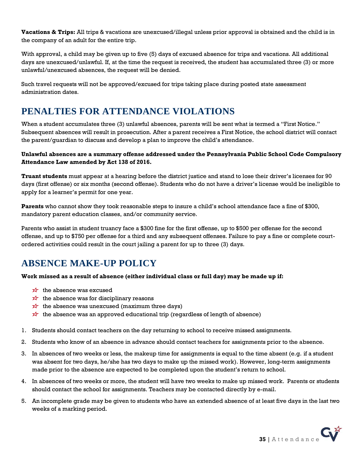**Vacations & Trips:** All trips & vacations are unexcused/illegal unless prior approval is obtained and the child is in the company of an adult for the entire trip.

With approval, a child may be given up to five (5) days of excused absence for trips and vacations. All additional days are unexcused/unlawful. If, at the time the request is received, the student has accumulated three (3) or more unlawful/unexcused absences, the request will be denied.

Such travel requests will not be approved/excused for trips taking place during posted state assessment administration dates.

## **PENALTIES FOR ATTENDANCE VIOLATIONS**

When a student accumulates three (3) unlawful absences, parents will be sent what is termed a "First Notice." Subsequent absences will result in prosecution. After a parent receives a First Notice, the school district will contact the parent/guardian to discuss and develop a plan to improve the child's attendance.

### **Unlawful absences are a summary offense addressed under the Pennsylvania Public School Code Compulsory Attendance Law amended by Act 138 of 2016.**

**Truant students** must appear at a hearing before the district justice and stand to lose their driver's licenses for 90 days (first offense) or six months (second offense). Students who do not have a driver's license would be ineligible to apply for a learner's permit for one year.

**Parents** who cannot show they took reasonable steps to insure a child's school attendance face a fine of \$300, mandatory parent education classes, and/or community service.

Parents who assist in student truancy face a \$300 fine for the first offense, up to \$500 per offense for the second offense, and up to \$750 per offense for a third and any subsequent offenses. Failure to pay a fine or complete courtordered activities could result in the court jailing a parent for up to three (3) days.

# **ABSENCE MAKE-UP POLICY**

### **Work missed as a result of absence (either individual class or full day) may be made up if:**

- $\overrightarrow{x}$  the absence was excused
- $\overrightarrow{x}$  the absence was for disciplinary reasons
- $\overrightarrow{x}$  the absence was unexcused (maximum three days)
- the absence was an approved educational trip (regardless of length of absence)
- 1. Students should contact teachers on the day returning to school to receive missed assignments.
- 2. Students who know of an absence in advance should contact teachers for assignments prior to the absence.
- 3. In absences of two weeks or less, the makeup time for assignments is equal to the time absent (e.g. if a student was absent for two days, he/she has two days to make up the missed work). However, long-term assignments made prior to the absence are expected to be completed upon the student's return to school.
- 4. In absences of two weeks or more, the student will have two weeks to make up missed work. Parents or students should contact the school for assignments. Teachers may be contacted directly by e-mail.
- 5. An incomplete grade may be given to students who have an extended absence of at least five days in the last two weeks of a marking period.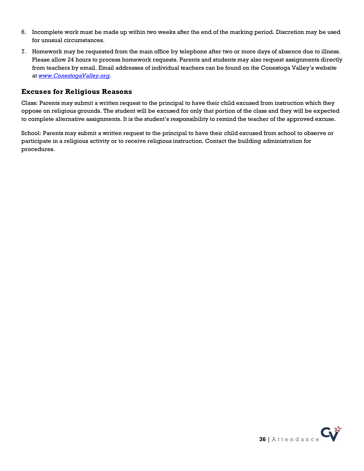- 6. Incomplete work must be made up within two weeks after the end of the marking period. Discretion may be used for unusual circumstances.
- 7. Homework may be requested from the main office by telephone after two or more days of absence due to illness. Please allow 24 hours to process homework requests. Parents and students may also request assignments directly from teachers by email. Email addresses of individual teachers can be found on the Conestoga Valley's website at *[www.ConestogaValley.org.](http://www.conestogavalley.org/)*

### **Excuses for Religious Reasons**

Class: Parents may submit a written request to the principal to have their child excused from instruction which they oppose on religious grounds. The student will be excused for only that portion of the class and they will be expected to complete alternative assignments. It is the student's responsibility to remind the teacher of the approved excuse.

School: Parents may submit a written request to the principal to have their child excused from school to observe or participate in a religious activity or to receive religious instruction. Contact the building administration for procedures.

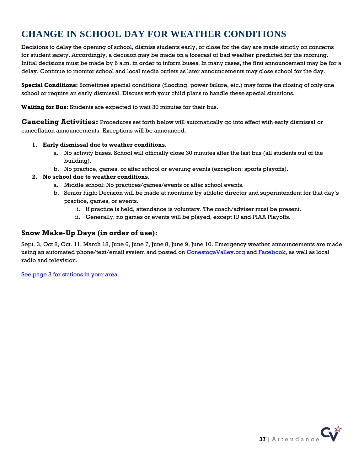# **CHANGE IN SCHOOL DAY FOR WEATHER CONDITIONS**

Decisions to delay the opening of school, dismiss students early, or close for the day are made strictly on concerns for student safety. Accordingly, a decision may be made on a forecast of bad weather predicted for the morning. Initial decisions must be made by 6 a.m. in order to inform buses. In many cases, the first announcement may be for a delay. Continue to monitor school and local media outlets as later announcements may close school for the day.

**Special Conditions:** Sometimes special conditions (flooding, power failure, etc.) may force the closing of only one school or require an early dismissal. Discuss with your child plans to handle these special situations.

**Waiting for Bus:** Students are expected to wait 30 minutes for their bus.

**Canceling Activities:** Procedures set forth below will automatically go into effect with early dismissal or cancellation announcements. Exceptions will be announced.

### **1. Early dismissal due to weather conditions.**

- a. No activity buses. School will officially close 30 minutes after the last bus (all students out of the building).
- b. No practice, games, or after school or evening events (exception: sports playoffs).

### **2. No school due to weather conditions.**

- a. Middle school: No practices/games/events or after school events.
- b. Senior high: Decision will be made at noontime by athletic director and superintendent for that day's practice, games, or events.
	- i. If practice is held, attendance is voluntary. The coach/adviser must be present.
	- ii. Generally, no games or events will be played, except IU and PIAA Playoffs.

### **Snow Make-Up Days (in order of use):**

Sept. 3, Oct 8, Oct. 11, March 18, June 6, June 7, June 8, June 9, June 10. Emergency weather announcements are made using an automated phone/text/email system and posted on [ConestogaValley.org](http://www.conestogavalley.org/) and [Facebook,](http://www.facebook.com/conestogavalley) as well as local radio and television.

[See page 3 for stations in your area.](#page-2-1)

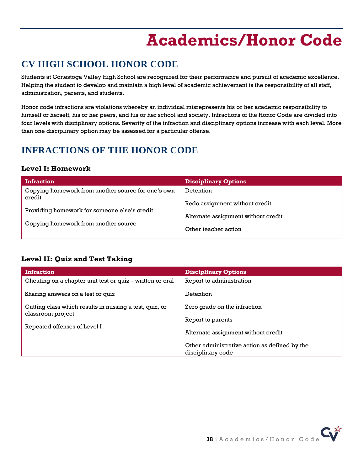# **Academics/Honor Code**

# <span id="page-37-0"></span>**CV HIGH SCHOOL HONOR CODE**

Students at Conestoga Valley High School are recognized for their performance and pursuit of academic excellence. Helping the student to develop and maintain a high level of academic achievement is the responsibility of all staff, administration, parents, and students.

Honor code infractions are violations whereby an individual misrepresents his or her academic responsibility to himself or herself, his or her peers, and his or her school and society. Infractions of the Honor Code are divided into four levels with disciplinary options. Severity of the infraction and disciplinary options increase with each level. More than one disciplinary option may be assessed for a particular offense.

# **INFRACTIONS OF THE HONOR CODE**

## **Level I: Homework**

| <b>Infraction</b>                                                                    | <b>Disciplinary Options</b>         |
|--------------------------------------------------------------------------------------|-------------------------------------|
| Copying homework from another source for one's own<br>credit                         | Detention                           |
| Providing homework for someone else's credit<br>Copying homework from another source | Redo assignment without credit      |
|                                                                                      | Alternate assignment without credit |
|                                                                                      | Other teacher action                |

## **Level II: Quiz and Test Taking**

| <b>Infraction</b>                                         | <b>Disciplinary Options</b>                   |
|-----------------------------------------------------------|-----------------------------------------------|
| Cheating on a chapter unit test or quiz – written or oral | Report to administration                      |
| Sharing answers on a test or quiz                         | Detention                                     |
| Cutting class which results in missing a test, quiz, or   | Zero grade on the infraction                  |
| classroom project                                         | Report to parents                             |
| Repeated offenses of Level I                              | Alternate assignment without credit           |
|                                                           | Other administrative action as defined by the |
|                                                           | disciplinary code                             |

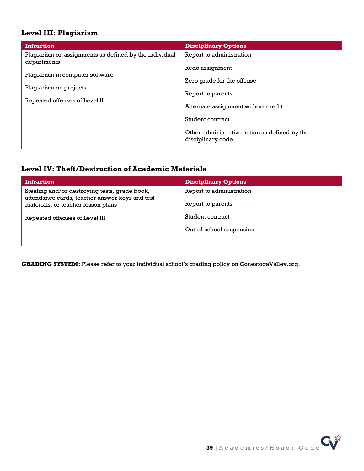## **Level III: Plagiarism**

| <b>Infraction</b>                                                                          | <b>Disciplinary Options</b>                                        |
|--------------------------------------------------------------------------------------------|--------------------------------------------------------------------|
| Plagiarism on assignments as defined by the individual<br>departments                      | Report to administration                                           |
| Plagiarism in computer software<br>Plagiarism on projects<br>Repeated offenses of Level II | Redo assignment                                                    |
|                                                                                            | Zero grade for the offense                                         |
|                                                                                            | Report to parents                                                  |
|                                                                                            | Alternate assignment without credit                                |
|                                                                                            | Student contract                                                   |
|                                                                                            | Other administrative action as defined by the<br>disciplinary code |

### **Level IV: Theft/Destruction of Academic Materials**

| <b>Infraction</b>                                                                                                                     | <b>Disciplinary Options</b> |
|---------------------------------------------------------------------------------------------------------------------------------------|-----------------------------|
| Stealing and/or destroying tests, grade book,<br>attendance cards, teacher answer keys and test<br>materials, or teacher lesson plans | Report to administration    |
|                                                                                                                                       | Report to parents           |
| Repeated offenses of Level III                                                                                                        | Student contract            |
|                                                                                                                                       | Out-of-school suspension    |
|                                                                                                                                       |                             |

**GRADING SYSTEM:** Please refer to your individual school's grading policy on ConestogaValley.org.

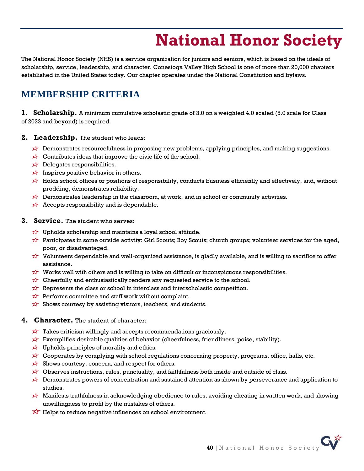# **National Honor Society**

<span id="page-39-0"></span>The National Honor Society (NHS) is a service organization for juniors and seniors, which is based on the ideals of scholarship, service, leadership, and character. Conestoga Valley High School is one of more than 20,000 chapters established in the United States today. Our chapter operates under the National Constitution and bylaws.

# **MEMBERSHIP CRITERIA**

**1. Scholarship.** A minimum cumulative scholastic grade of 3.0 on a weighted 4.0 scaled (5.0 scale for Class of 2023 and beyond) is required.

- **2. Leadership.** The student who leads:
	- $\overleftrightarrow{\mathbf{r}}$  Demonstrates resourcefulness in proposing new problems, applying principles, and making suggestions.
	- $\overrightarrow{x}$  Contributes ideas that improve the civic life of the school.
	- $\overleftrightarrow{\mathbf{r}}$  Delegates responsibilities.
	- Inspires positive behavior in others.
	- Holds school offices or positions of responsibility, conducts business efficiently and effectively, and, without prodding, demonstrates reliability.
	- $\overleftrightarrow{\lambda}$  Demonstrates leadership in the classroom, at work, and in school or community activities.
	- $\overrightarrow{x}$  Accepts responsibility and is dependable.
- **3. Service.** The student who serves:
	- $\overrightarrow{x}$  Upholds scholarship and maintains a loyal school attitude.
	- Participates in some outside activity: Girl Scouts; Boy Scouts; church groups; volunteer services for the aged, poor, or disadvantaged.
	- $\overleftrightarrow{\mathbf{x}}$  Volunteers dependable and well-organized assistance, is gladly available, and is willing to sacrifice to offer assistance.
	- Works well with others and is willing to take on difficult or inconspicuous responsibilities.
	- $\overrightarrow{x}$  Cheerfully and enthusiastically renders any requested service to the school.
	- $\overrightarrow{x}$  Represents the class or school in interclass and interscholastic competition.
	- $\overrightarrow{x}$  Performs committee and staff work without complaint.
	- $\overrightarrow{x}$  Shows courtesy by assisting visitors, teachers, and students.
- **4. Character.** The student of character:
	- $\overrightarrow{x}$  Takes criticism willingly and accepts recommendations graciously.
	- $\overrightarrow{x}$  Exemplifies desirable qualities of behavior (cheerfulness, friendliness, poise, stability).
	- $\overrightarrow{x}$  Upholds principles of morality and ethics.
	- $\overleftrightarrow{\mathbf{r}}$  Cooperates by complying with school regulations concerning property, programs, office, halls, etc.
	- $\overrightarrow{x}$  Shows courtesy, concern, and respect for others.
	- $\overleftrightarrow{\mathbf{r}}$  Observes instructions, rules, punctuality, and faithfulness both inside and outside of class.
	- $\overleftrightarrow{\mathbf{r}}$  Demonstrates powers of concentration and sustained attention as shown by perseverance and application to studies.
	- Manifests truthfulness in acknowledging obedience to rules, avoiding cheating in written work, and showing unwillingness to profit by the mistakes of others.
	- $\overrightarrow{X}$  Helps to reduce negative influences on school environment.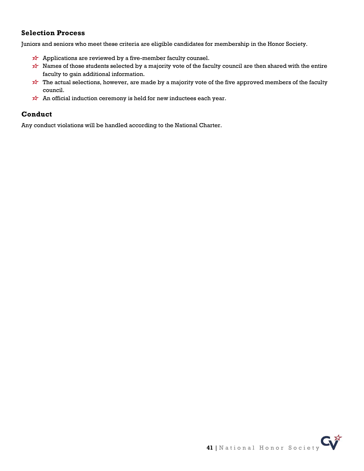### **Selection Process**

Juniors and seniors who meet these criteria are eligible candidates for membership in the Honor Society.

- $\overrightarrow{x}$  Applications are reviewed by a five-member faculty counsel.
- $\overleftrightarrow{\mathbf{x}}$  Names of those students selected by a majority vote of the faculty council are then shared with the entire faculty to gain additional information.
- The actual selections, however, are made by a majority vote of the five approved members of the faculty council.
- $\overrightarrow{x}$  An official induction ceremony is held for new inductees each year.

### **Conduct**

Any conduct violations will be handled according to the National Charter.

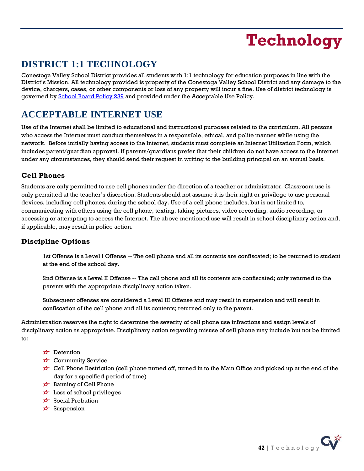# **Technology**

# <span id="page-41-0"></span>**DISTRICT 1:1 TECHNOLOGY**

Conestoga Valley School District provides all students with 1:1 technology for education purposes in line with the District's Mission. All technology provided is property of the Conestoga Valley School District and any damage to the device, chargers, cases, or other components or loss of any property will incur a fine. Use of district technology is governed by [School Board Policy 239](https://go.boarddocs.com/pa/conestoga/Board.nsf/goto?open&id=BP4MMS5B1B76) and provided under the Acceptable Use Policy.

# **ACCEPTABLE INTERNET USE**

Use of the Internet shall be limited to educational and instructional purposes related to the curriculum. All persons who access the Internet must conduct themselves in a responsible, ethical, and polite manner while using the network. Before initially having access to the Internet, students must complete an Internet Utilization Form, which includes parent/guardian approval. If parents/guardians prefer that their children do not have access to the Internet under any circumstances, they should send their request in writing to the building principal on an annual basis.

## **Cell Phones**

Students are only permitted to use cell phones under the direction of a teacher or administrator. Classroom use is only permitted at the teacher's discretion. Students should not assume it is their right or privilege to use personal devices, including cell phones, during the school day. Use of a cell phone includes, but is not limited to, communicating with others using the cell phone, texting, taking pictures, video recording, audio recording, or accessing or attempting to access the Internet. The above mentioned use will result in school disciplinary action and, if applicable, may result in police action.

## **Discipline Options**

1st Offense is a Level I Offense -- The cell phone and all its contents are confiscated; to be returned to student at the end of the school day.

2nd Offense is a Level II Offense -- The cell phone and all its contents are confiscated; only returned to the parents with the appropriate disciplinary action taken.

Subsequent offenses are considered a Level III Offense and may result in suspension and will result in confiscation of the cell phone and all its contents; returned only to the parent.

Administration reserves the right to determine the severity of cell phone use infractions and assign levels of disciplinary action as appropriate. Disciplinary action regarding misuse of cell phone may include but not be limited to:

- $\overrightarrow{2}$  Detention
- **x** Community Service
- $\overrightarrow{x}$  Cell Phone Restriction (cell phone turned off, turned in to the Main Office and picked up at the end of the day for a specified period of time)
- $\overrightarrow{2}$  Banning of Cell Phone
- $\overleftrightarrow{\mathbf{x}}$  Loss of school privileges
- $\overrightarrow{X}$  Social Probation
- $x^2$  Suspension

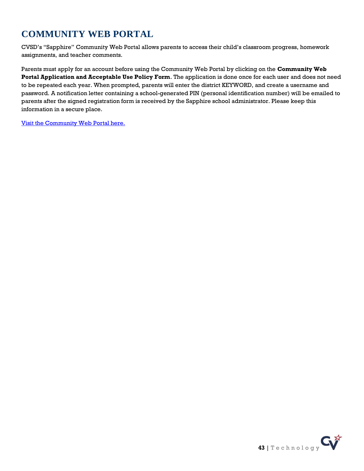# **COMMUNITY WEB PORTAL**

CVSD's "Sapphire" Community Web Portal allows parents to access their child's classroom progress, homework assignments, and teacher comments.

Parents must apply for an account before using the Community Web Portal by clicking on the **Community Web Portal Application and Acceptable Use Policy Form**. The application is done once for each user and does not need to be repeated each year. When prompted, parents will enter the district KEYWORD, and create a username and password. A notification letter containing a school-generated PIN (personal identification number) will be emailed to parents after the signed registration form is received by the Sapphire school administrator. Please keep this information in a secure place.

[Visit the Community Web Portal here.](https://portal.conestogavalley.org/CommunityWebPortal/Welcome.cfm)

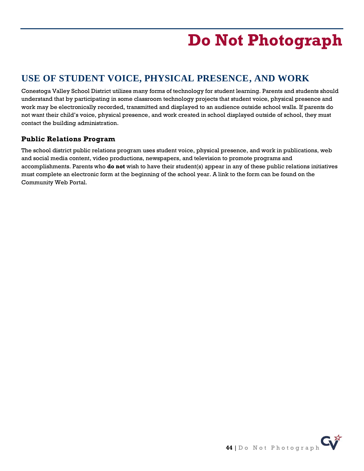# **Do Not Photograph**

# <span id="page-43-0"></span>**USE OF STUDENT VOICE, PHYSICAL PRESENCE, AND WORK**

Conestoga Valley School District utilizes many forms of technology for student learning. Parents and students should understand that by participating in some classroom technology projects that student voice, physical presence and work may be electronically recorded, transmitted and displayed to an audience outside school walls. If parents do not want their child's voice, physical presence, and work created in school displayed outside of school, they must contact the building administration.

## **Public Relations Program**

The school district public relations program uses student voice, physical presence, and work in publications, web and social media content, video productions, newspapers, and television to promote programs and accomplishments. Parents who **do not** wish to have their student(s) appear in any of these public relations initiatives must complete an electronic form at the beginning of the school year. A link to the form can be found on the Community Web Portal.

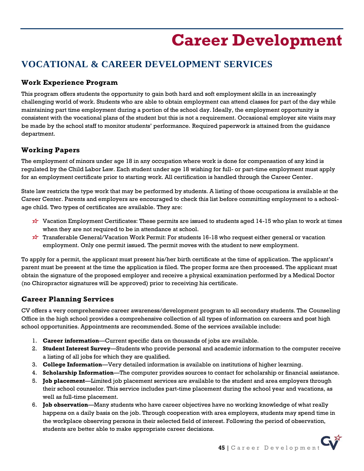# **Career Development**

# <span id="page-44-0"></span>**VOCATIONAL & CAREER DEVELOPMENT SERVICES**

## **Work Experience Program**

This program offers students the opportunity to gain both hard and soft employment skills in an increasingly challenging world of work. Students who are able to obtain employment can attend classes for part of the day while maintaining part time employment during a portion of the school day. Ideally, the employment opportunity is consistent with the vocational plans of the student but this is not a requirement. Occasional employer site visits may be made by the school staff to monitor students' performance. Required paperwork is attained from the guidance department.

## **Working Papers**

The employment of minors under age 18 in any occupation where work is done for compensation of any kind is regulated by the Child Labor Law. Each student under age 18 wishing for full- or part-time employment must apply for an employment certificate prior to starting work. All certification is handled through the Career Center.

State law restricts the type work that may be performed by students. A listing of those occupations is available at the Career Center. Parents and employers are encouraged to check this list before committing employment to a schoolage child. Two types of certificates are available. They are:

- $\overrightarrow{x}$  Vacation Employment Certificates: These permits are issued to students aged 14-15 who plan to work at times when they are not required to be in attendance at school.
- Transferable General/Vacation Work Permit: For students 16-18 who request either general or vacation employment. Only one permit issued. The permit moves with the student to new employment.

To apply for a permit, the applicant must present his/her birth certificate at the time of application. The applicant's parent must be present at the time the application is filed. The proper forms are then processed. The applicant must obtain the signature of the proposed employer and receive a physical examination performed by a Medical Doctor (no Chiropractor signatures will be approved) prior to receiving his certificate.

## **Career Planning Services**

CV offers a very comprehensive career awareness/development program to all secondary students. The Counseling Office in the high school provides a comprehensive collection of all types of information on careers and post high school opportunities. Appointments are recommended. Some of the services available include:

- 1. **Career information**—Current specific data on thousands of jobs are available.
- 2. **Student Interest Survey**—Students who provide personal and academic information to the computer receive a listing of all jobs for which they are qualified.
- 3. **College Information**—Very detailed information is available on institutions of higher learning.
- 4. **Scholarship Information**—The computer provides sources to contact for scholarship or financial assistance.
- 5. **Job placement**—Limited job placement services are available to the student and area employers through their school counselor. This service includes part-time placement during the school year and vacations, as well as full-time placement.
- 6. **Job observation**—Many students who have career objectives have no working knowledge of what really happens on a daily basis on the job. Through cooperation with area employers, students may spend time in the workplace observing persons in their selected field of interest. Following the period of observation, students are better able to make appropriate career decisions.

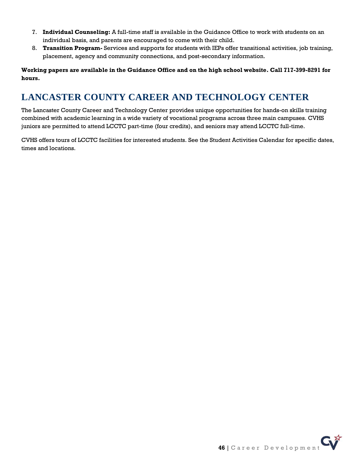- 7. **Individual Counseling:** A full-time staff is available in the Guidance Office to work with students on an individual basis, and parents are encouraged to come with their child.
- 8. **Transition Program-** Services and supports for students with IEPs offer transitional activities, job training, placement, agency and community connections, and post-secondary information.

**Working papers are available in the Guidance Office and on the high school website. Call 717-399-8291 for hours.**

# **LANCASTER COUNTY CAREER AND TECHNOLOGY CENTER**

The Lancaster County Career and Technology Center provides unique opportunities for hands-on skills training combined with academic learning in a wide variety of vocational programs across three main campuses. CVHS juniors are permitted to attend LCCTC part-time (four credits), and seniors may attend LCCTC full-time.

CVHS offers tours of LCCTC facilities for interested students. See the Student Activities Calendar for specific dates, times and locations.

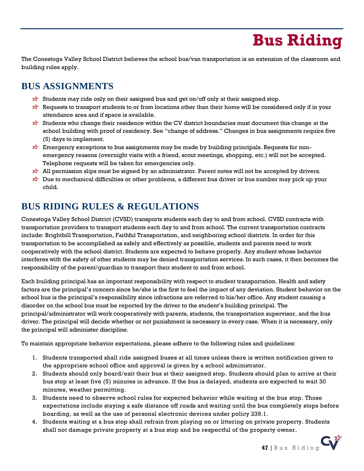# **Bus Riding**

<span id="page-46-0"></span>The Conestoga Valley School District believes the school bus/van transportation is an extension of the classroom and building rules apply.

# **BUS ASSIGNMENTS**

- $\overleftrightarrow{\lambda}$  Students may ride only on their assigned bus and get on/off only at their assigned stop.
- Requests to transport students to or from locations other than their home will be considered only if in your attendance area and if space is available.
- Students who change their residence within the CV district boundaries must document this change at the school building with proof of residency. See "change of address." Changes in bus assignments require five (5) days to implement.
- $\overleftrightarrow{\mathbf{x}}$  Emergency exceptions to bus assignments may be made by building principals. Requests for nonemergency reasons (overnight visits with a friend, scout meetings, shopping, etc.) will not be accepted. Telephone requests will be taken for emergencies only.
- All permission slips must be signed by an administrator. Parent notes will not be accepted by drivers.
- $\overleftrightarrow{\mathbf{r}}$  Due to mechanical difficulties or other problems, a different bus driver or bus number may pick up your child.

# **BUS RIDING RULES & REGULATIONS**

Conestoga Valley School District (CVSD) transports students each day to and from school. CVSD contracts with transportation providers to transport students each day to and from school. The current transportation contracts include: Brightbill Transportation, Faithful Transportation, and neighboring school districts. In order for this transportation to be accomplished as safely and effectively as possible, students and parents need to work cooperatively with the school district. Students are expected to behave properly. Any student whose behavior interferes with the safety of other students may be denied transportation services. In such cases, it then becomes the responsibility of the parent/guardian to transport their student to and from school.

Each building principal has an important responsibility with respect to student transportation. Health and safety factors are the principal's concern since he/she is the first to feel the impact of any deviation. Student behavior on the school bus is the principal's responsibility since infractions are referred to his/her office. Any student causing a disorder on the school bus must be reported by the driver to the student's building principal. The principal/administrator will work cooperatively with parents, students, the transportation supervisor, and the bus driver. The principal will decide whether or not punishment is necessary in every case. When it is necessary, only the principal will administer discipline.

To maintain appropriate behavior expectations, please adhere to the following rules and guidelines:

- 1. Students transported shall ride assigned buses at all times unless there is written notification given to the appropriate school office and approval is given by a school administrator.
- 2. Students should only board/exit their bus at their assigned stop. Students should plan to arrive at their bus stop at least five (5) minutes in advance. If the bus is delayed, students are expected to wait 30 minutes, weather permitting.
- 3. Students need to observe school rules for expected behavior while waiting at the bus stop. Those expectations include staying a safe distance off roads and waiting until the bus completely stops before boarding, as well as the use of personal electronic devices under policy 239.1.
- 4. Students waiting at a bus stop shall refrain from playing on or littering on private property. Students shall not damage private property at a bus stop and be respectful of the property owner.

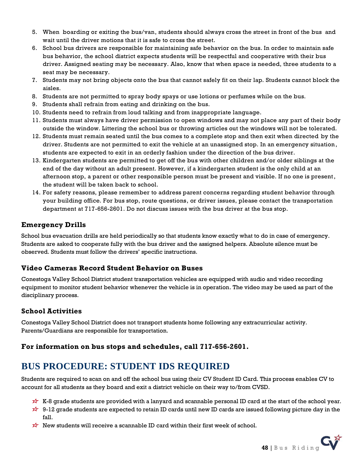- 5. When boarding or exiting the bus/van, students should always cross the street in front of the bus and wait until the driver motions that it is safe to cross the street.
- 6. School bus drivers are responsible for maintaining safe behavior on the bus. In order to maintain safe bus behavior, the school district expects students will be respectful and cooperative with their bus driver. Assigned seating may be necessary. Also, know that when space is needed, three students to a seat may be necessary.
- 7. Students may not bring objects onto the bus that cannot safely fit on their lap. Students cannot block the aisles.
- 8. Students are not permitted to spray body spays or use lotions or perfumes while on the bus.
- 9. Students shall refrain from eating and drinking on the bus.
- 10. Students need to refrain from loud talking and from inappropriate language.
- 11. Students must always have driver permission to open windows and may not place any part of their body outside the window. Littering the school bus or throwing articles out the windows will not be tolerated.
- 12. Students must remain seated until the bus comes to a complete stop and then exit when directed by the driver. Students are not permitted to exit the vehicle at an unassigned stop. In an emergency situation, students are expected to exit in an orderly fashion under the direction of the bus driver.
- 13. Kindergarten students are permitted to get off the bus with other children and/or older siblings at the end of the day without an adult present. However, if a kindergarten student is the only child at an afternoon stop, a parent or other responsible person must be present and visible. If no one is present, the student will be taken back to school.
- 14. For safety reasons, please remember to address parent concerns regarding student behavior through your building office. For bus stop, route questions, or driver issues, please contact the transportation department at 717-656-2601. Do not discuss issues with the bus driver at the bus stop.

### **Emergency Drills**

School bus evacuation drills are held periodically so that students know exactly what to do in case of emergency. Students are asked to cooperate fully with the bus driver and the assigned helpers. Absolute silence must be observed. Students must follow the drivers' specific instructions.

### **Video Cameras Record Student Behavior on Buses**

Conestoga Valley School District student transportation vehicles are equipped with audio and video recording equipment to monitor student behavior whenever the vehicle is in operation. The video may be used as part of the disciplinary process.

### **School Activities**

Conestoga Valley School District does not transport students home following any extracurricular activity. Parents/Guardians are responsible for transportation.

### **For information on bus stops and schedules, call 717-656-2601.**

## **BUS PROCEDURE: STUDENT IDS REQUIRED**

Students are required to scan on and off the school bus using their CV Student ID Card. This process enables CV to account for all students as they board and exit a district vehicle on their way to/from CVSD.

- $\overrightarrow{x}$  K-8 grade students are provided with a lanyard and scannable personal ID card at the start of the school year.
- 9-12 grade students are expected to retain ID cards until new ID cards are issued following picture day in the fall.
- $\overrightarrow{\lambda}$  New students will receive a scannable ID card within their first week of school.

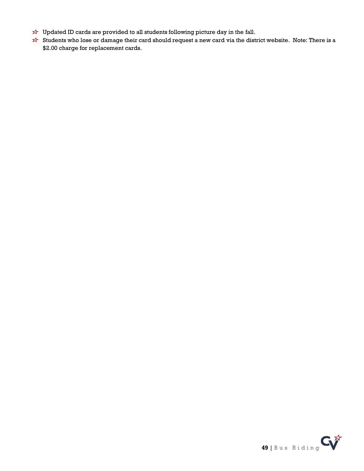- $\overrightarrow{x}$  Updated ID cards are provided to all students following picture day in the fall.
- Students who lose or damage their card should request a new card via the district website. Note: There is a \$2.00 charge for replacement cards.

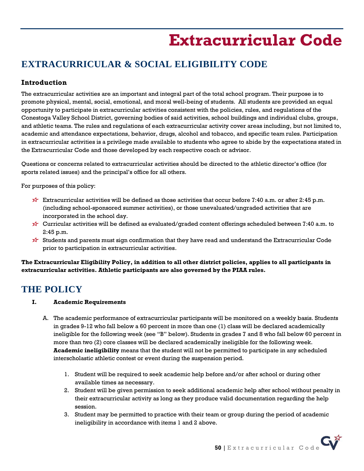# **Extracurricular Code**

# <span id="page-49-0"></span>**EXTRACURRICULAR & SOCIAL ELIGIBILITY CODE**

## **Introduction**

The extracurricular activities are an important and integral part of the total school program. Their purpose is to promote physical, mental, social, emotional, and moral well-being of students. All students are provided an equal opportunity to participate in extracurricular activities consistent with the policies, rules, and regulations of the Conestoga Valley School District, governing bodies of said activities, school buildings and individual clubs, groups, and athletic teams. The rules and regulations of each extracurricular activity cover areas including, but not limited to, academic and attendance expectations, behavior, drugs, alcohol and tobacco, and specific team rules. Participation in extracurricular activities is a privilege made available to students who agree to abide by the expectations stated in the Extracurricular Code and those developed by each respective coach or advisor.

Questions or concerns related to extracurricular activities should be directed to the athletic director's office (for sports related issues) and the principal's office for all others.

For purposes of this policy:

- Extracurricular activities will be defined as those activities that occur before 7:40 a.m. or after 2:45 p.m. (including school-sponsored summer activities), or those unevaluated/ungraded activities that are incorporated in the school day.
- $\overrightarrow{x}$  Curricular activities will be defined as evaluated/graded content offerings scheduled between 7:40 a.m. to 2:45 p.m.
- $\overleftrightarrow{v}$  Students and parents must sign confirmation that they have read and understand the Extracurricular Code prior to participation in extracurricular activities.

**The Extracurricular Eligibility Policy, in addition to all other district policies, applies to all participants in extracurricular activities. Athletic participants are also governed by the PIAA rules.**

## **THE POLICY**

- **I. Academic Requirements**
	- A. The academic performance of extracurricular participants will be monitored on a weekly basis. Students in grades 9-12 who fall below a 60 percent in more than one (1) class will be declared academically ineligible for the following week (see "B" below). Students in grades 7 and 8 who fall below 60 percent in more than two (2) core classes will be declared academically ineligible for the following week. **Academic ineligibility** means that the student will not be permitted to participate in any scheduled interscholastic athletic contest or event during the suspension period.
		- 1. Student will be required to seek academic help before and/or after school or during other available times as necessary.
		- 2. Student will be given permission to seek additional academic help after school without penalty in their extracurricular activity as long as they produce valid documentation regarding the help session.
		- 3. Student may be permitted to practice with their team or group during the period of academic ineligibility in accordance with items 1 and 2 above.

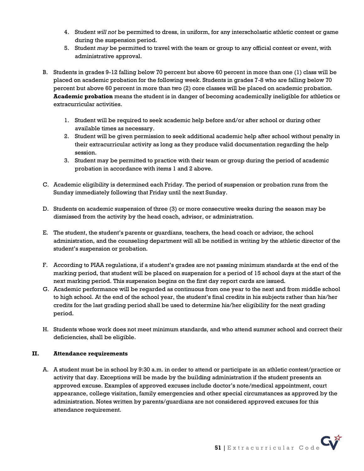- 4. Student *will not* be permitted to dress, in uniform, for any interscholastic athletic contest or game during the suspension period.
- 5. Student *may* be permitted to travel with the team or group to any official contest or event, with administrative approval.
- B. Students in grades 9-12 falling below 70 percent but above 60 percent in more than one (1) class will be placed on academic probation for the following week. Students in grades 7-8 who are falling below 70 percent but above 60 percent in more than two (2) core classes will be placed on academic probation. **Academic probation** means the student is in danger of becoming academically ineligible for athletics or extracurricular activities.
	- 1. Student will be required to seek academic help before and/or after school or during other available times as necessary.
	- 2. Student will be given permission to seek additional academic help after school without penalty in their extracurricular activity as long as they produce valid documentation regarding the help session.
	- 3. Student may be permitted to practice with their team or group during the period of academic probation in accordance with items 1 and 2 above.
- C. Academic eligibility is determined each Friday. The period of suspension or probation runs from the Sunday immediately following that Friday until the next Sunday.
- D. Students on academic suspension of three (3) or more consecutive weeks during the season may be dismissed from the activity by the head coach, advisor, or administration.
- E. The student, the student's parents or guardians, teachers, the head coach or advisor, the school administration, and the counseling department will all be notified in writing by the athletic director of the student's suspension or probation.
- F. According to PIAA regulations, if a student's grades are not passing minimum standards at the end of the marking period, that student will be placed on suspension for a period of 15 school days at the start of the next marking period. This suspension begins on the first day report cards are issued.
- G. Academic performance will be regarded as continuous from one year to the next and from middle school to high school. At the end of the school year, the student's final credits in his subjects rather than his/her credits for the last grading period shall be used to determine his/her eligibility for the next grading period.
- H. Students whose work does not meet minimum standards, and who attend summer school and correct their deficiencies, shall be eligible.

### **II. Attendance requirements**

A. A student must be in school by 9:30 a.m. in order to attend or participate in an athletic contest/practice or activity that day. Exceptions will be made by the building administration if the student presents an approved excuse. Examples of approved excuses include doctor's note/medical appointment, court appearance, college visitation, family emergencies and other special circumstances as approved by the administration. Notes written by parents/guardians are not considered approved excuses for this attendance requirement.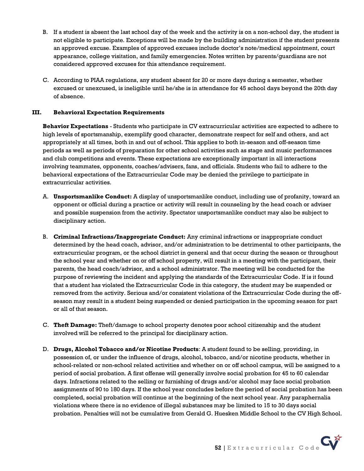- B. If a student is absent the last school day of the week and the activity is on a non-school day, the student is not eligible to participate. Exceptions will be made by the building administration if the student presents an approved excuse. Examples of approved excuses include doctor's note/medical appointment, court appearance, college visitation, and family emergencies. Notes written by parents/guardians are not considered approved excuses for this attendance requirement.
- C. According to PIAA regulations, any student absent for 20 or more days during a semester, whether excused or unexcused, is ineligible until he/she is in attendance for 45 school days beyond the 20th day of absence.

### **III. Behavioral Expectation Requirements**

**Behavior Expectations** - Students who participate in CV extracurricular activities are expected to adhere to high levels of sportsmanship, exemplify good character, demonstrate respect for self and others, and act appropriately at all times, both in and out of school. This applies to both in-season and off-season time periods as well as periods of preparation for other school activities such as stage and music performances and club competitions and events. These expectations are exceptionally important in all interactions involving teammates, opponents, coaches/advisers, fans, and officials. Students who fail to adhere to the behavioral expectations of the Extracurricular Code may be denied the privilege to participate in extracurricular activities.

- A. **Unsportsmanlike Conduct:** A display of unsportsmanlike conduct, including use of profanity, toward an opponent or official during a practice or activity will result in counseling by the head coach or adviser and possible suspension from the activity. Spectator unsportsmanlike conduct may also be subject to disciplinary action.
- B. **Criminal Infractions/Inappropriate Conduct:** Any criminal infractions or inappropriate conduct determined by the head coach, advisor, and/or administration to be detrimental to other participants, the extracurricular program, or the school district in general and that occur during the season or throughout the school year and whether on or off school property, will result in a meeting with the participant, their parents, the head coach/advisor, and a school administrator. The meeting will be conducted for the purpose of reviewing the incident and applying the standards of the Extracurricular Code. If is it found that a student has violated the Extracurricular Code in this category, the student may be suspended or removed from the activity. Serious and/or consistent violations of the Extracurricular Code during the offseason may result in a student being suspended or denied participation in the upcoming season for part or all of that season.
- C. **Theft Damage:** Theft/damage to school property denotes poor school citizenship and the student involved will be referred to the principal for disciplinary action.
- D. **Drugs, Alcohol Tobacco and/or Nicotine Products**: A student found to be selling, providing, in possession of, or under the influence of drugs, alcohol, tobacco, and/or nicotine products, whether in school-related or non-school related activities and whether on or off school campus, will be assigned to a period of social probation. A first offense will generally involve social probation for 45 to 60 calendar days. Infractions related to the selling or furnishing of drugs and/or alcohol may face social probation assignments of 90 to 180 days. If the school year concludes before the period of social probation has been completed, social probation will continue at the beginning of the next school year. Any paraphernalia violations where there is no evidence of illegal substances may be limited to 15 to 30 days social probation. Penalties will not be cumulative from Gerald G. Huesken Middle School to the CV High School.

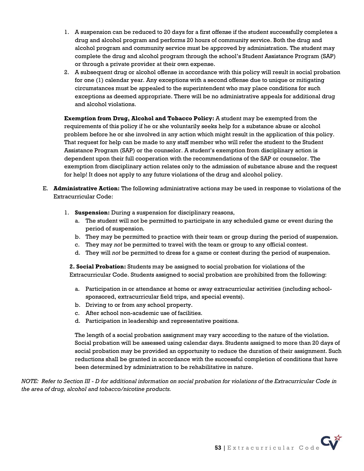- 1. A suspension can be reduced to 20 days for a first offense if the student successfully completes a drug and alcohol program and performs 20 hours of community service. Both the drug and alcohol program and community service must be approved by administration. The student may complete the drug and alcohol program through the school's Student Assistance Program (SAP) or through a private provider at their own expense.
- 2. A subsequent drug or alcohol offense in accordance with this policy will result in social probation for one (1) calendar year. Any exceptions with a second offense due to unique or mitigating circumstances must be appealed to the superintendent who may place conditions for such exceptions as deemed appropriate. There will be no administrative appeals for additional drug and alcohol violations.

**Exemption from Drug, Alcohol and Tobacco Policy:** A student may be exempted from the requirements of this policy if he or she voluntarily seeks help for a substance abuse or alcohol problem before he or she involved in any action which might result in the application of this policy. That request for help can be made to any staff member who will refer the student to the Student Assistance Program (SAP) or the counselor. A student's exemption from disciplinary action is dependent upon their full cooperation with the recommendations of the SAP or counselor. The exemption from disciplinary action relates only to the admission of substance abuse and the request for help! It does not apply to any future violations of the drug and alcohol policy.

- E. **Administrative Action:** The following administrative actions may be used in response to violations of the Extracurricular Code:
	- 1. **Suspension:** During a suspension for disciplinary reasons,
		- a. The student will not be permitted to participate in any scheduled game or event during the period of suspension.
		- b. They may be permitted to practice with their team or group during the period of suspension.
		- c. They may *not* be permitted to travel with the team or group to any official contest.
		- d. They will *not* be permitted to dress for a game or contest during the period of suspension.

**2. Social Probation:** Students may be assigned to social probation for violations of the Extracurricular Code. Students assigned to social probation are prohibited from the following:

- a. Participation in or attendance at home or away extracurricular activities (including schoolsponsored, extracurricular field trips, and special events).
- b. Driving to or from any school property.
- c. After school non-academic use of facilities.
- d. Participation in leadership and representative positions.

The length of a social probation assignment may vary according to the nature of the violation. Social probation will be assessed using calendar days. Students assigned to more than 20 days of social probation may be provided an opportunity to reduce the duration of their assignment. Such reductions shall be granted in accordance with the successful completion of conditions that have been determined by administration to be rehabilitative in nature.

*NOTE: Refer to Section III - D for additional information on social probation for violations of the Extracurricular Code in the area of drug, alcohol and tobacco/nicotine products.*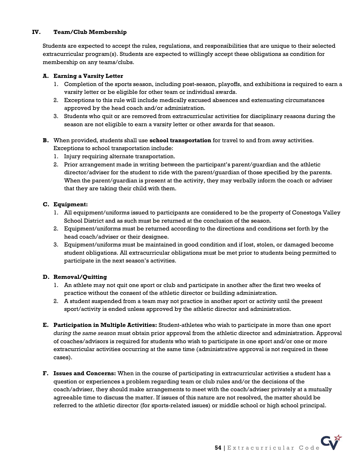### **IV. Team/Club Membership**

Students are expected to accept the rules, regulations, and responsibilities that are unique to their selected extracurricular program(s). Students are expected to willingly accept these obligations as condition for membership on any teams/clubs.

### **A. Earning a Varsity Letter**

- 1. Completion of the sports season, including post-season, playoffs, and exhibitions is required to earn a varsity letter or be eligible for other team or individual awards.
- 2. Exceptions to this rule will include medically excused absences and extenuating circumstances approved by the head coach and/or administration.
- 3. Students who quit or are removed from extracurricular activities for disciplinary reasons during the season are not eligible to earn a varsity letter or other awards for that season.
- **B.** When provided, students shall use **school transportation** for travel to and from away activities. Exceptions to school transportation include:
	- 1. Injury requiring alternate transportation.
	- 2. Prior arrangement made in writing between the participant's parent/guardian and the athletic director/adviser for the student to ride with the parent/guardian of those specified by the parents. When the parent/guardian is present at the activity, they may verbally inform the coach or adviser that they are taking their child with them.

### **C. Equipment:**

- 1. All equipment/uniforms issued to participants are considered to be the property of Conestoga Valley School District and as such must be returned at the conclusion of the season.
- 2. Equipment/uniforms must be returned according to the directions and conditions set forth by the head coach/adviser or their designee.
- 3. Equipment/uniforms must be maintained in good condition and if lost, stolen, or damaged become student obligations. All extracurricular obligations must be met prior to students being permitted to participate in the next season's activities.

### **D. Removal/Quitting**

- 1. An athlete may not quit one sport or club and participate in another after the first two weeks of practice without the consent of the athletic director or building administration.
- 2. A student suspended from a team may not practice in another sport or activity until the present sport/activity is ended unless approved by the athletic director and administration.
- **E. Participation in Multiple Activities:** Student-athletes who wish to participate in more than one sport *during the same season* must obtain prior approval from the athletic director and administration. Approval of coaches/advisors is required for students who wish to participate in one sport and/or one or more extracurricular activities occurring at the same time (administrative approval is not required in these cases).
- **F. Issues and Concerns:** When in the course of participating in extracurricular activities a student has a question or experiences a problem regarding team or club rules and/or the decisions of the coach/adviser, they should make arrangements to meet with the coach/adviser privately at a mutually agreeable time to discuss the matter. If issues of this nature are not resolved, the matter should be referred to the athletic director (for sports-related issues) or middle school or high school principal.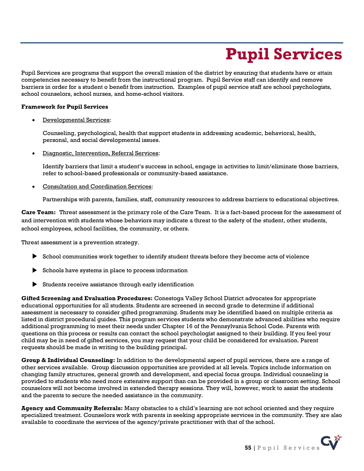# **Pupil Services**

<span id="page-54-0"></span>Pupil Services are programs that support the overall mission of the district by ensuring that students have or attain competencies necessary to benefit from the instructional program. Pupil Service staff can identify and remove barriers in order for a student o benefit from instruction. Examples of pupil service staff are school psychologists, school counselors, school nurses, and home-school visitors.

#### **Framework for Pupil Services**

• Developmental Services:

Counseling, psychological, health that support students in addressing academic, behavioral, health, personal, and social developmental issues.

• Diagnostic, Intervention, Referral Services:

Identify barriers that limit a student's success in school, engage in activities to limit/eliminate those barriers, refer to school-based professionals or community-based assistance.

• Consultation and Coordination Services:

Partnerships with parents, families, staff, community resources to address barriers to educational objectives.

**Care Team:** Threat assessment is the primary role of the Care Team. It is a fact-based process for the assessment of and intervention with students whose behaviors may indicate a threat to the safety of the student, other students, school employees, school facilities, the community, or others.

Threat assessment is a prevention strategy.

- School communities work together to identify student threats before they become acts of violence
- Schools have systems in place to process information
- Students receive assistance through early identification

**Gifted Screening and Evaluation Procedures:** Conestoga Valley School District advocates for appropriate educational opportunities for all students. Students are screened in second grade to determine if additional assessment is necessary to consider gifted programming. Students may be identified based on multiple criteria as listed in district procedural guides. This program services students who demonstrate advanced abilities who require additional programming to meet their needs under Chapter 16 of the Pennsylvania School Code. Parents with questions on this process or results can contact the school psychologist assigned to their building. If you feel your child may be in need of gifted services, you may request that your child be considered for evaluation. Parent requests should be made in writing to the building principal.

**Group & Individual Counseling:** In addition to the developmental aspect of pupil services, there are a range of other services available. Group discussion opportunities are provided at all levels. Topics include information on changing family structures, general growth and development, and special focus groups. Individual counseling is provided to students who need more extensive support than can be provided in a group or classroom setting. School counselors will not become involved in extended therapy sessions. They will, however, work to assist the students and the parents to secure the needed assistance in the community.

**Agency and Community Referrals:** Many obstacles to a child's learning are not school oriented and they require specialized treatment. Counselors work with parents in seeking appropriate services in the community. They are also available to coordinate the services of the agency/private practitioner with that of the school.

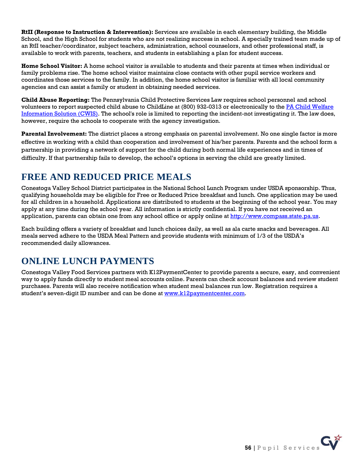**RtII (Response to Instruction & Intervention):** Services are available in each elementary building, the Middle School, and the High School for students who are not realizing success in school. A specially trained team made up of an RtII teacher/coordinator, subject teachers, administration, school counselors, and other professional staff, is available to work with parents, teachers, and students in establishing a plan for student success.

**Home School Visitor:** A home school visitor is available to students and their parents at times when individual or family problems rise. The home school visitor maintains close contacts with other pupil service workers and coordinates those services to the family. In addition, the home school visitor is familiar with all local community agencies and can assist a family or student in obtaining needed services.

**Child Abuse Reporting:** The Pennsylvania Child Protective Services Law requires school personnel and school volunteers to report suspected child abuse to ChildLine at (800) 932-0313 or electronically to th[e PA Child Welfare](https://www.compass.state.pa.us/cwis)  [Information Solution \(CWIS\).](https://www.compass.state.pa.us/cwis) The school's role is limited to reporting the incident-not investigating it. The law does, however, require the schools to cooperate with the agency investigation.

**Parental Involvement:** The district places a strong emphasis on parental involvement. No one single factor is more effective in working with a child than cooperation and involvement of his/her parents. Parents and the school form a partnership in providing a network of support for the child during both normal life experiences and in times of difficulty. If that partnership fails to develop, the school's options in serving the child are greatly limited.

# **FREE AND REDUCED PRICE MEALS**

Conestoga Valley School District participates in the National School Lunch Program under USDA sponsorship. Thus, qualifying households may be eligible for Free or Reduced Price breakfast and lunch. One application may be used for all children in a household. Applications are distributed to students at the beginning of the school year. You may apply at any time during the school year. All information is strictly confidential. If you have not received an application, parents can obtain one from any school office or apply online a[t http://www.compass.state.pa.us.](http://www.compass.state.pa.us/)

Each building offers a variety of breakfast and lunch choices daily, as well as ala carte snacks and beverages. All meals served adhere to the USDA Meal Pattern and provide students with minimum of 1/3 of the USDA's recommended daily allowances.

## **ONLINE LUNCH PAYMENTS**

Conestoga Valley Food Services partners with K12PaymentCenter to provide parents a secure, easy, and convenient way to apply funds directly to student meal accounts online. Parents can check account balances and review student purchases. Parents will also receive notification when student meal balances run low. Registration requires a student's seven-digit ID number and can be done at [www.k12paymentcenter.com.](http://www.k12paymentcenter.com/)

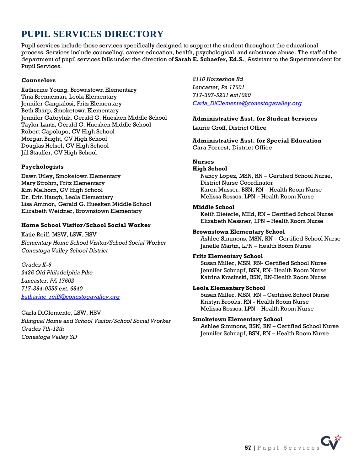# **PUPIL SERVICES DIRECTORY**

Pupil services include those services specifically designed to support the student throughout the educational process. Services include counseling, career education, health, psychological, and substance abuse. The staff of the department of pupil services falls under the direction of **Sarah E. Schaefer, Ed.S.**, Assistant to the Superintendent for Pupil Services.

### **Counselors**

Katherine Young, Brownstown Elementary Tina Brenneman, Leola Elementary Jennifer Cangialosi, Fritz Elementary Beth Sharp, Smoketown Elementary Jennifer Gabryluk, Gerald G. Huesken Middle School Taylor Lantz, Gerald G. Huesken Middle School Robert Capolupo, CV High School Morgan Bright, CV High School Douglas Helsel, CV High School Jill Stauffer, CV High School

### **Psychologists**

Dawn Utley, Smoketown Elementary Mary Strohm, Fritz Elementary Kim Melhorn, CV High School Dr. Erin Haugh, Leola Elementary Lisa Ammon, Gerald G. Huesken Middle School Elizabeth Weidner, Brownstown Elementary

### **Home School Visitor/School Social Worker**

Katie Reiff, MSW, LSW, HSV *Elementary Home School Visitor/School Social Worker Conestoga Valley School District*

*Grades K-6 2426 Old Philadelphia Pike Lancaster, PA 17602 717-394-0555 ext. 6840 [katharine\\_reiff@conestogavalley.org](mailto:katharine_reiff@conestogavalley.org)*

Carla DiClemente, LSW, HSV *Bilingual Home and School Visitor/School Social Worker Grades 7th-12th Conestoga Valley SD*

*2110 Horseshoe Rd Lancaster, Pa 17601 717-397-5231 ext1020 [Carla\\_DiClemente@conestogavalley.org](mailto:Carla_DiClemente@conestogavalley.org)*

### **Administrative Asst. for Student Services**

Laurie Groff, District Office

**Administrative Asst. for Special Education** Cara Forrest, District Office

### **Nurses**

#### **High School**

Nancy Lopez, MSN, RN – Certified School Nurse, District Nurse Coordinator Karen Musser, BSN, RN – Health Room Nurse Melissa Rossos, LPN – Health Room Nurse

#### **Middle School**

Keith Dieterle, MEd, RN – Certified School Nurse Elizabeth Messner, LPN – Health Room Nurse

### **Brownstown Elementary School**

Ashlee Simmons, MSN, RN – Certified School Nurse Janelle Martin, LPN – Health Room Nurse

### **Fritz Elementary School**

Susan Miller, MSN, RN- Certified School Nurse Jennifer Schnapf, BSN, RN- Health Room Nurse Katrina Krasinski, BSN, RN-Health Room Nurse

### **Leola Elementary School**

Susan Miller, MSN, RN – Certified School Nurse Kristyn Brooks, RN - Health Room Nurse Melissa Rossos, LPN – Health Room Nurse

### **Smoketown Elementary School**

Ashlee Simmons, BSN, RN – Certified School Nurse Jennifer Schnapf, BSN, RN – Health Room Nurse

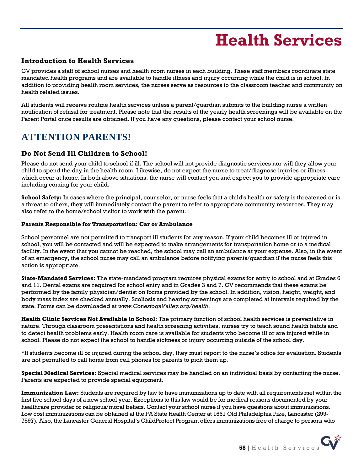# **Health Services**

### <span id="page-57-0"></span>**Introduction to Health Services**

CV provides a staff of school nurses and health room nurses in each building. These staff members coordinate state mandated health programs and are available to handle illness and injury occurring while the child is in school. In addition to providing health room services, the nurses serve as resources to the classroom teacher and community on health related issues.

All students will receive routine health services unless a parent/guardian submits to the building nurse a written notification of refusal for treatment. Please note that the results of the yearly health screenings will be available on the Parent Portal once results are obtained. If you have any questions, please contact your school nurse.

# **ATTENTION PARENTS!**

## **Do Not Send Ill Children to School!**

Please do not send your child to school if ill. The school will not provide diagnostic services nor will they allow your child to spend the day in the health room. Likewise, do not expect the nurse to treat/diagnose injuries or illness which occur at home. In both above situations, the nurse will contact you and expect you to provide appropriate care including coming for your child.

**School Safety:** In cases where the principal, counselor, or nurse feels that a child's health or safety is threatened or is a threat to others, they will immediately contact the parent to refer to appropriate community resources. They may also refer to the home/school visitor to work with the parent.

#### **Parents Responsible for Transportation: Car or Ambulance**

School personnel are not permitted to transport ill students for any reason. If your child becomes ill or injured in school, you will be contacted and will be expected to make arrangements for transportation home or to a medical facility. In the event that you cannot be reached, the school may call an ambulance at your expense. Also, in the event of an emergency, the school nurse may call an ambulance before notifying parents/guardian if the nurse feels this action is appropriate.

**State-Mandated Services:** The state-mandated program requires physical exams for entry to school and at Grades 6 and 11. Dental exams are required for school entry and in Grades 3 and 7. CV recommends that these exams be performed by the family physician/dentist on forms provided by the school. In addition, vision, height, weight, and body mass index are checked annually. Scoliosis and hearing screenings are completed at intervals required by the state. Forms can be downloaded at *www.ConestogaValley.org/health*.

**Health Clinic Services Not Available in School:** The primary function of school health services is preventative in nature. Through classroom presentations and health screening activities, nurses try to teach sound health habits and to detect health problems early. Health room care is available for students who become ill or are injured while in school. Please do not expect the school to handle sickness or injury occurring outside of the school day.

\*If students become ill or injured during the school day, they must report to the nurse's office for evaluation. Students are not permitted to call home from cell phones for parents to pick them up.

**Special Medical Services:** Special medical services may be handled on an individual basis by contacting the nurse. Parents are expected to provide special equipment.

**Immunization Law:** Students are required by law to have immunizations up to date with all requirements met within the first five school days of a new school year. Exceptions to this law would be for medical reasons documented by your healthcare provider or religious/moral beliefs. Contact your school nurse if you have questions about immunizations. Low cost immunizations can be obtained at the PA State Health Center at 1661 Old Philadelphia Pike, Lancaster (299- 7597). Also, the Lancaster General Hospital's ChildProtect Program offers immunizations free of charge to persons who

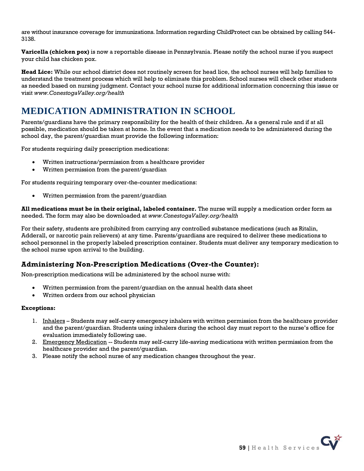are without insurance coverage for immunizations. Information regarding ChildProtect can be obtained by calling 544- 3138.

**Varicella (chicken pox)** is now a reportable disease in Pennsylvania. Please notify the school nurse if you suspect your child has chicken pox.

**Head Lice:** While our school district does not routinely screen for head lice, the school nurses will help families to understand the treatment process which will help to eliminate this problem. School nurses will check other students as needed based on nursing judgment. Contact your school nurse for additional information concerning this issue or visit *www.ConestogaValley.org/health*

## **MEDICATION ADMINISTRATION IN SCHOOL**

Parents/guardians have the primary responsibility for the health of their children. As a general rule and if at all possible, medication should be taken at home. In the event that a medication needs to be administered during the school day, the parent/guardian must provide the following information:

For students requiring daily prescription medications:

- Written instructions/permission from a healthcare provider
- Written permission from the parent/guardian

For students requiring temporary over-the-counter medications:

• Written permission from the parent/guardian

**All medications must be in their original, labeled container.** The nurse will supply a medication order form as needed. The form may also be downloaded at *www.ConestogaValley.org/health*

For their safety, students are prohibited from carrying any controlled substance medications (such as Ritalin, Adderall, or narcotic pain relievers) at any time. Parents/guardians are required to deliver these medications to school personnel in the properly labeled prescription container. Students must deliver any temporary medication to the school nurse upon arrival to the building.

## **Administering Non-Prescription Medications (Over-the Counter):**

Non-prescription medications will be administered by the school nurse with:

- Written permission from the parent/guardian on the annual health data sheet
- Written orders from our school physician

#### **Exceptions:**

- 1. Inhalers Students may self-carry emergency inhalers with written permission from the healthcare provider and the parent/guardian. Students using inhalers during the school day must report to the nurse's office for evaluation immediately following use.
- 2. Emergency Medication -- Students may self-carry life-saving medications with written permission from the healthcare provider and the parent/guardian.
- 3. Please notify the school nurse of any medication changes throughout the year.

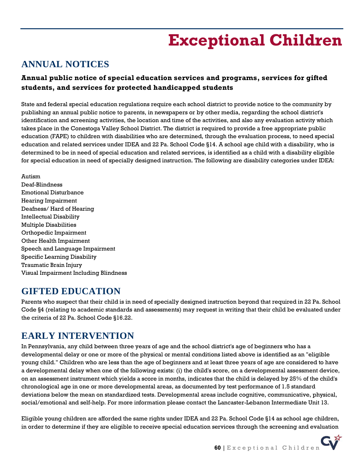# **Exceptional Children**

## <span id="page-59-0"></span>**ANNUAL NOTICES**

## **Annual public notice of special education services and programs, services for gifted students, and services for protected handicapped students**

State and federal special education regulations require each school district to provide notice to the community by publishing an annual public notice to parents, in newspapers or by other media, regarding the school district's identification and screening activities, the location and time of the activities, and also any evaluation activity which takes place in the Conestoga Valley School District. The district is required to provide a free appropriate public education (FAPE) to children with disabilities who are determined, through the evaluation process, to need special education and related services under IDEA and 22 Pa. School Code §14. A school age child with a disability, who is determined to be in need of special education and related services, is identified as a child with a disability eligible for special education in need of specially designed instruction. The following are disability categories under IDEA:

Autism Deaf-Blindness Emotional Disturbance Hearing Impairment Deafness/ Hard of Hearing Intellectual Disability Multiple Disabilities Orthopedic Impairment Other Health Impairment Speech and Language Impairment Specific Learning Disability Traumatic Brain Injury Visual Impairment Including Blindness

## **GIFTED EDUCATION**

Parents who suspect that their child is in need of specially designed instruction beyond that required in 22 Pa. School Code §4 (relating to academic standards and assessments) may request in writing that their child be evaluated under the criteria of 22 Pa. School Code §16.22.

## **EARLY INTERVENTION**

In Pennsylvania, any child between three years of age and the school district's age of beginners who has a developmental delay or one or more of the physical or mental conditions listed above is identified as an "eligible young child." Children who are less than the age of beginners and at least three years of age are considered to have a developmental delay when one of the following exists: (i) the child's score, on a developmental assessment device, on an assessment instrument which yields a score in months, indicates that the child is delayed by 25% of the child's chronological age in one or more developmental areas, as documented by test performance of 1.5 standard deviations below the mean on standardized tests. Developmental areas include cognitive, communicative, physical, social/emotional and self-help. For more information please contact the Lancaster-Lebanon Intermediate Unit 13.

Eligible young children are afforded the same rights under IDEA and 22 Pa. School Code §14 as school age children, in order to determine if they are eligible to receive special education services through the screening and evaluation

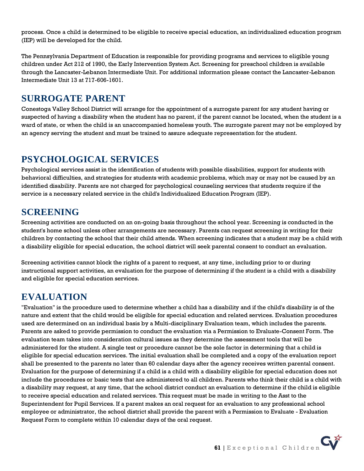process. Once a child is determined to be eligible to receive special education, an individualized education program (IEP) will be developed for the child.

The Pennsylvania Department of Education is responsible for providing programs and services to eligible young children under Act 212 of 1990, the Early Intervention System Act. Screening for preschool children is available through the Lancaster-Lebanon Intermediate Unit. For additional information please contact the Lancaster-Lebanon Intermediate Unit 13 at 717-606-1601.

## **SURROGATE PARENT**

Conestoga Valley School District will arrange for the appointment of a surrogate parent for any student having or suspected of having a disability when the student has no parent, if the parent cannot be located, when the student is a ward of state, or when the child is an unaccompanied homeless youth. The surrogate parent may not be employed by an agency serving the student and must be trained to assure adequate representation for the student.

## **PSYCHOLOGICAL SERVICES**

Psychological services assist in the identification of students with possible disabilities, support for students with behavioral difficulties, and strategies for students with academic problems, which may or may not be caused by an identified disability. Parents are not charged for psychological counseling services that students require if the service is a necessary related service in the child's Individualized Education Program (IEP).

## **SCREENING**

Screening activities are conducted on an on-going basis throughout the school year. Screening is conducted in the student's home school unless other arrangements are necessary. Parents can request screening in writing for their children by contacting the school that their child attends. When screening indicates that a student may be a child with a disability eligible for special education, the school district will seek parental consent to conduct an evaluation.

Screening activities cannot block the rights of a parent to request, at any time, including prior to or during instructional support activities, an evaluation for the purpose of determining if the student is a child with a disability and eligible for special education services.

## **EVALUATION**

"Evaluation" is the procedure used to determine whether a child has a disability and if the child's disability is of the nature and extent that the child would be eligible for special education and related services. Evaluation procedures used are determined on an individual basis by a Multi-disciplinary Evaluation team, which includes the parents. Parents are asked to provide permission to conduct the evaluation via a Permission to Evaluate-Consent Form. The evaluation team takes into consideration cultural issues as they determine the assessment tools that will be administered for the student. A single test or procedure cannot be the sole factor in determining that a child is eligible for special education services. The initial evaluation shall be completed and a copy of the evaluation report shall be presented to the parents no later than 60 calendar days after the agency receives written parental consent. Evaluation for the purpose of determining if a child is a child with a disability eligible for special education does not include the procedures or basic tests that are administered to all children. Parents who think their child is a child with a disability may request, at any time, that the school district conduct an evaluation to determine if the child is eligible to receive special education and related services. This request must be made in writing to the Asst to the Superintendent for Pupil Services. If a parent makes an oral request for an evaluation to any professional school employee or administrator, the school district shall provide the parent with a Permission to Evaluate - Evaluation Request Form to complete within 10 calendar days of the oral request.

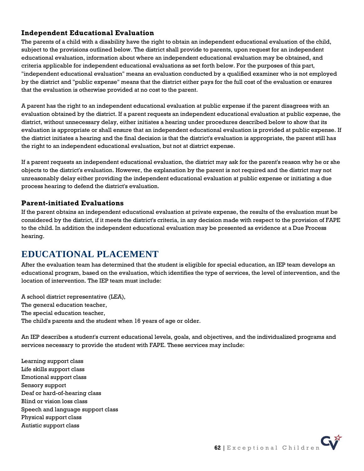## **Independent Educational Evaluation**

The parents of a child with a disability have the right to obtain an independent educational evaluation of the child, subject to the provisions outlined below. The district shall provide to parents, upon request for an independent educational evaluation, information about where an independent educational evaluation may be obtained, and criteria applicable for independent educational evaluations as set forth below. For the purposes of this part, "independent educational evaluation" means an evaluation conducted by a qualified examiner who is not employed by the district and "public expense" means that the district either pays for the full cost of the evaluation or ensures that the evaluation is otherwise provided at no cost to the parent.

A parent has the right to an independent educational evaluation at public expense if the parent disagrees with an evaluation obtained by the district. If a parent requests an independent educational evaluation at public expense, the district, without unnecessary delay, either initiates a hearing under procedures described below to show that its evaluation is appropriate or shall ensure that an independent educational evaluation is provided at public expense. If the district initiates a hearing and the final decision is that the district's evaluation is appropriate, the parent still has the right to an independent educational evaluation, but not at district expense.

If a parent requests an independent educational evaluation, the district may ask for the parent's reason why he or she objects to the district's evaluation. However, the explanation by the parent is not required and the district may not unreasonably delay either providing the independent educational evaluation at public expense or initiating a due process hearing to defend the district's evaluation.

### **Parent-initiated Evaluations**

If the parent obtains an independent educational evaluation at private expense, the results of the evaluation must be considered by the district, if it meets the district's criteria, in any decision made with respect to the provision of FAPE to the child. In addition the independent educational evaluation may be presented as evidence at a Due Process hearing.

## **EDUCATIONAL PLACEMENT**

After the evaluation team has determined that the student is eligible for special education, an IEP team develops an educational program, based on the evaluation, which identifies the type of services, the level of intervention, and the location of intervention. The IEP team must include:

A school district representative (LEA), The general education teacher, The special education teacher, The child's parents and the student when 16 years of age or older.

An IEP describes a student's current educational levels, goals, and objectives, and the individualized programs and services necessary to provide the student with FAPE. These services may include:

Learning support class Life skills support class Emotional support class Sensory support Deaf or hard-of-hearing class Blind or vision loss class Speech and language support class Physical support class Autistic support class

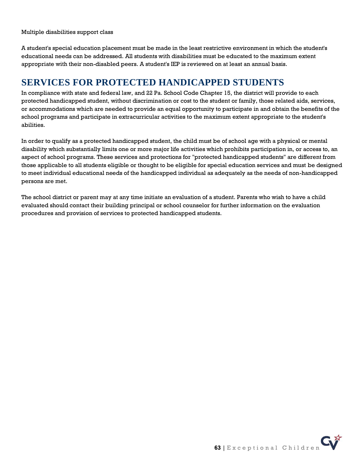Multiple disabilities support class

A student's special education placement must be made in the least restrictive environment in which the student's educational needs can be addressed. All students with disabilities must be educated to the maximum extent appropriate with their non-disabled peers. A student's IEP is reviewed on at least an annual basis.

## **SERVICES FOR PROTECTED HANDICAPPED STUDENTS**

In compliance with state and federal law, and 22 Pa. School Code Chapter 15, the district will provide to each protected handicapped student, without discrimination or cost to the student or family, those related aids, services, or accommodations which are needed to provide an equal opportunity to participate in and obtain the benefits of the school programs and participate in extracurricular activities to the maximum extent appropriate to the student's abilities.

In order to qualify as a protected handicapped student, the child must be of school age with a physical or mental disability which substantially limits one or more major life activities which prohibits participation in, or access to, an aspect of school programs. These services and protections for "protected handicapped students" are different from those applicable to all students eligible or thought to be eligible for special education services and must be designed to meet individual educational needs of the handicapped individual as adequately as the needs of non-handicapped persons are met.

The school district or parent may at any time initiate an evaluation of a student. Parents who wish to have a child evaluated should contact their building principal or school counselor for further information on the evaluation procedures and provision of services to protected handicapped students.

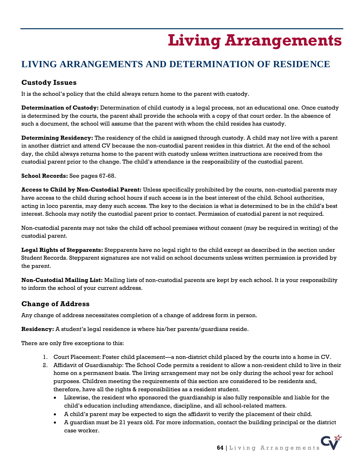# **Living Arrangements**

# <span id="page-63-0"></span>**LIVING ARRANGEMENTS AND DETERMINATION OF RESIDENCE**

## **Custody Issues**

It is the school's policy that the child always return home to the parent with custody.

**Determination of Custody:** Determination of child custody is a legal process, not an educational one. Once custody is determined by the courts, the parent shall provide the schools with a copy of that court order. In the absence of such a document, the school will assume that the parent with whom the child resides has custody.

**Determining Residency:** The residency of the child is assigned through custody. A child may not live with a parent in another district and attend CV because the non-custodial parent resides in this district. At the end of the school day, the child always returns home to the parent with custody unless written instructions are received from the custodial parent prior to the change. The child's attendance is the responsibility of the custodial parent.

**School Records:** See pages 67-68.

**Access to Child by Non-Custodial Parent:** Unless specifically prohibited by the courts, non-custodial parents may have access to the child during school hours if such access is in the best interest of the child. School authorities, acting in loco parentis, may deny such access. The key to the decision is what is determined to be in the child's best interest. Schools may notify the custodial parent prior to contact. Permission of custodial parent is not required.

Non-custodial parents may not take the child off school premises without consent (may be required in writing) of the custodial parent.

**Legal Rights of Stepparents:** Stepparents have no legal right to the child except as described in the section under Student Records. Stepparent signatures are not valid on school documents unless written permission is provided by the parent.

**Non-Custodial Mailing List:** Mailing lists of non-custodial parents are kept by each school. It is your responsibility to inform the school of your current address.

## **Change of Address**

Any change of address necessitates completion of a change of address form in person.

**Residency:** A student's legal residence is where his/her parents/guardians reside.

There are only five exceptions to this:

- 1. Court Placement: Foster child placement—a non-district child placed by the courts into a home in CV.
- 2. Affidavit of Guardianship: The School Code permits a resident to allow a non-resident child to live in their home on a permanent basis. The living arrangement may not be only during the school year for school purposes. Children meeting the requirements of this section are considered to be residents and, therefore, have all the rights & responsibilities as a resident student.
	- Likewise, the resident who sponsored the guardianship is also fully responsible and liable for the child's education including attendance, discipline, and all school-related matters.
	- A child's parent may be expected to sign the affidavit to verify the placement of their child.
	- A guardian must be 21 years old. For more information, contact the building principal or the district case worker.

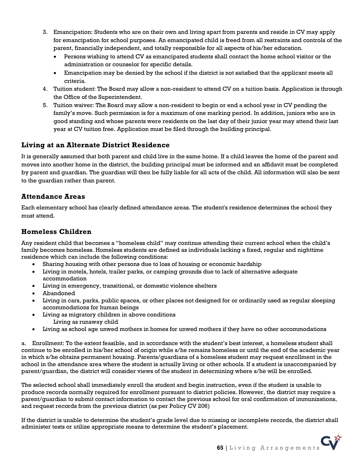- 3. Emancipation: Students who are on their own and living apart from parents and reside in CV may apply for emancipation for school purposes. An emancipated child is freed from all restraints and controls of the parent, financially independent, and totally responsible for all aspects of his/her education.
	- Persons wishing to attend CV as emancipated students shall contact the home school visitor or the administration or counselor for specific details.
	- Emancipation may be denied by the school if the district is not satisfied that the applicant meets all criteria.
- 4. Tuition student: The Board may allow a non-resident to attend CV on a tuition basis. Application is through the Office of the Superintendent.
- 5. Tuition waiver: The Board may allow a non-resident to begin or end a school year in CV pending the family's move. Such permission is for a maximum of one marking period. In addition, juniors who are in good standing and whose parents were residents on the last day of their junior year may attend their last year at CV tuition free. Application must be filed through the building principal.

## **Living at an Alternate District Residence**

It is generally assumed that both parent and child live in the same home. If a child leaves the home of the parent and moves into another home in the district, the building principal must be informed and an affidavit must be completed by parent and guardian. The guardian will then be fully liable for all acts of the child. All information will also be sent to the guardian rather than parent.

### **Attendance Areas**

Each elementary school has clearly defined attendance areas. The student's residence determines the school they must attend.

## **Homeless Children**

Any resident child that becomes a "homeless child" may continue attending their current school when the child's family becomes homeless. Homeless students are defined as individuals lacking a fixed, regular and nighttime residence which can include the following conditions:

- Sharing housing with other persons due to loss of housing or economic hardship
- Living in motels, hotels, trailer parks, or camping grounds due to lack of alternative adequate accommodation
- Living in emergency, transitional, or domestic violence shelters
- Abandoned
- Living in cars, parks, public spaces, or other places not designed for or ordinarily used as regular sleeping accommodations for human beings
- Living as migratory children in above conditions Living as runaway child
- Living as school age unwed mothers in homes for unwed mothers if they have no other accommodations

a. Enrollment: To the extent feasible, and in accordance with the student's best interest, a homeless student shall continue to be enrolled in his/her school of origin while s/he remains homeless or until the end of the academic year in which s/he obtains permanent housing. Parents/guardians of a homeless student may request enrollment in the school in the attendance area where the student is actually living or other schools. If a student is unaccompanied by parent/guardian, the district will consider views of the student in determining where s/he will be enrolled.

The selected school shall immediately enroll the student and begin instruction, even if the student is unable to produce records normally required for enrollment pursuant to district policies. However, the district may require a parent/guardian to submit contact information to contact the previous school for oral confirmation of immunizations, and request records from the previous district (as per Policy CV 206)

If the district is unable to determine the student's grade level due to missing or incomplete records, the district shall administer tests or utilize appropriate means to determine the student's placement.

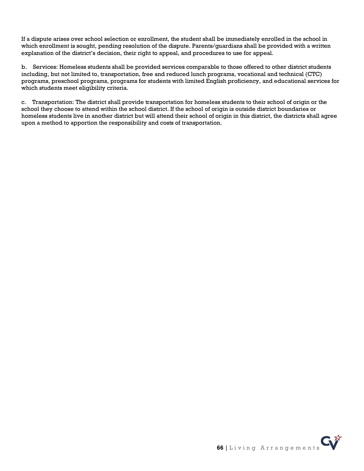If a dispute arises over school selection or enrollment, the student shall be immediately enrolled in the school in which enrollment is sought, pending resolution of the dispute. Parents/guardians shall be provided with a written explanation of the district's decision, their right to appeal, and procedures to use for appeal.

b. Services: Homeless students shall be provided services comparable to those offered to other district students including, but not limited to, transportation, free and reduced lunch programs, vocational and technical (CTC) programs, preschool programs, programs for students with limited English proficiency, and educational services for which students meet eligibility criteria.

c. Transportation: The district shall provide transportation for homeless students to their school of origin or the school they choose to attend within the school district. If the school of origin is outside district boundaries or homeless students live in another district but will attend their school of origin in this district, the districts shall agree upon a method to apportion the responsibility and costs of transportation.

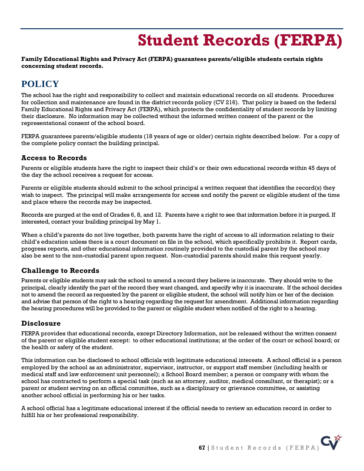# **Student Records (FERPA)**

#### <span id="page-66-0"></span>**Family Educational Rights and Privacy Act (FERPA) guarantees parents/eligible students certain rights concerning student records.**

## **POLICY**

The school has the right and responsibility to collect and maintain educational records on all students. Procedures for collection and maintenance are found in the district records policy (CV 216). That policy is based on the federal Family Educational Rights and Privacy Act (FERPA), which protects the confidentiality of student records by limiting their disclosure. No information may be collected without the informed written consent of the parent or the representational consent of the school board.

FERPA guarantees parents/eligible students (18 years of age or older) certain rights described below. For a copy of the complete policy contact the building principal.

### **Access to Records**

Parents or eligible students have the right to inspect their child's or their own educational records within 45 days of the day the school receives a request for access.

Parents or eligible students should submit to the school principal a written request that identifies the record(s) they wish to inspect. The principal will make arrangements for access and notify the parent or eligible student of the time and place where the records may be inspected.

Records are purged at the end of Grades 6, 8, and 12. Parents have a right to see that information before it is purged. If interested, contact your building principal by May 1.

When a child's parents do not live together, both parents have the right of access to all information relating to their child's education unless there is a court document on file in the school, which specifically prohibits it. Report cards, progress reports, and other educational information routinely provided to the custodial parent by the school may also be sent to the non-custodial parent upon request. Non-custodial parents should make this request yearly.

## **Challenge to Records**

Parents or eligible students may ask the school to amend a record they believe is inaccurate. They should write to the principal, clearly identify the part of the record they want changed, and specify why it is inaccurate. If the school decides not to amend the record as requested by the parent or eligible student, the school will notify him or her of the decision and advise that person of the right to a hearing regarding the request for amendment. Additional information regarding the hearing procedures will be provided to the parent or eligible student when notified of the right to a hearing.

## **Disclosure**

FERPA provides that educational records, except Directory Information, not be released without the written consent of the parent or eligible student except: to other educational institutions; at the order of the court or school board; or the health or safety of the student.

This information can be disclosed to school officials with legitimate educational interests. A school official is a person employed by the school as an administrator, supervisor, instructor, or support staff member (including health or medical staff and law enforcement unit personnel); a School Board member; a person or company with whom the school has contracted to perform a special task (such as an attorney, auditor, medical consultant, or therapist); or a parent or student serving on an official committee, such as a disciplinary or grievance committee, or assisting another school official in performing his or her tasks.

A school official has a legitimate educational interest if the official needs to review an education record in order to fulfill his or her professional responsibility.

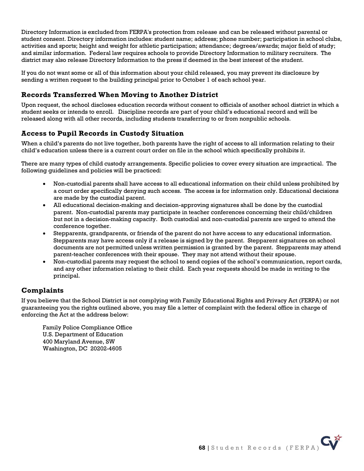Directory Information is excluded from FERPA's protection from release and can be released without parental or student consent. Directory information includes: student name; address; phone number; participation in school clubs, activities and sports; height and weight for athletic participation; attendance; degrees/awards; major field of study; and similar information. Federal law requires schools to provide Directory Information to military recruiters. The district may also release Directory Information to the press if deemed in the best interest of the student.

If you do not want some or all of this information about your child released, you may prevent its disclosure by sending a written request to the building principal prior to October 1 of each school year.

## **Records Transferred When Moving to Another District**

Upon request, the school discloses education records without consent to officials of another school district in which a student seeks or intends to enroll. Discipline records are part of your child's educational record and will be released along with all other records, including students transferring to or from nonpublic schools.

## **Access to Pupil Records in Custody Situation**

When a child's parents do not live together, both parents have the right of access to all information relating to their child's education unless there is a current court order on file in the school which specifically prohibits it.

There are many types of child custody arrangements. Specific policies to cover every situation are impractical. The following guidelines and policies will be practiced:

- Non-custodial parents shall have access to all educational information on their child unless prohibited by a court order specifically denying such access. The access is for information only. Educational decisions are made by the custodial parent.
- All educational decision-making and decision-approving signatures shall be done by the custodial parent. Non-custodial parents may participate in teacher conferences concerning their child/children but not in a decision-making capacity. Both custodial and non-custodial parents are urged to attend the conference together.
- Stepparents, grandparents, or friends of the parent do not have access to any educational information. Stepparents may have access only if a release is signed by the parent. Stepparent signatures on school documents are not permitted unless written permission is granted by the parent. Stepparents may attend parent-teacher conferences with their spouse. They may not attend without their spouse.
- Non-custodial parents may request the school to send copies of the school's communication, report cards, and any other information relating to their child. Each year requests should be made in writing to the principal.

## **Complaints**

If you believe that the School District is not complying with Family Educational Rights and Privacy Act (FERPA) or not guaranteeing you the rights outlined above, you may file a letter of complaint with the federal office in charge of enforcing the Act at the address below:

Family Police Compliance Office U.S. Department of Education 400 Maryland Avenue, SW Washington, DC 20202-4605

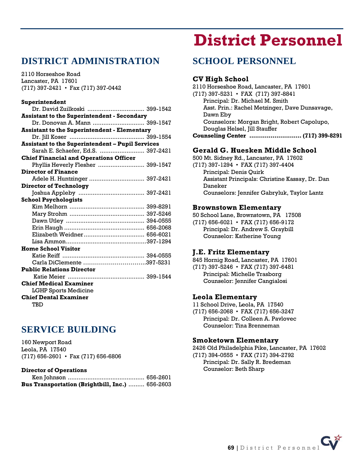## <span id="page-68-0"></span>**DISTRICT ADMINISTRATION**

2110 Horseshoe Road Lancaster, PA 17601 (717) 397-2421 • Fax (717) 397-0442

#### **Superintendent**

| Dr. David Zuilkoski  399-1542                           |  |  |
|---------------------------------------------------------|--|--|
| <b>Assistant to the Superintendent - Secondary</b>      |  |  |
| Dr. Donovan A. Mann  399-1547                           |  |  |
| <b>Assistant to the Superintendent - Elementary</b>     |  |  |
|                                                         |  |  |
| <b>Assistant to the Superintendent - Pupil Services</b> |  |  |
| Sarah E. Schaefer, Ed.S.  397-2421                      |  |  |
| <b>Chief Financial and Operations Officer</b>           |  |  |
| Phyllis Heverly Flesher  399-1547                       |  |  |
| <b>Director of Finance</b>                              |  |  |
| Adele H. Huntzinger  397-2421                           |  |  |
| <b>Director of Technology</b>                           |  |  |
|                                                         |  |  |
| <b>School Psychologists</b>                             |  |  |
|                                                         |  |  |
|                                                         |  |  |
|                                                         |  |  |
|                                                         |  |  |
|                                                         |  |  |
|                                                         |  |  |
| <b>Home School Visitor</b>                              |  |  |
|                                                         |  |  |
| Carla DiClemente 397-5231                               |  |  |
| <b>Public Relations Director</b>                        |  |  |
|                                                         |  |  |
| <b>Chief Medical Examiner</b>                           |  |  |
| LGHP Sports Medicine                                    |  |  |
| <b>Chief Dental Examiner</b>                            |  |  |
| TBD                                                     |  |  |

## **SERVICE BUILDING**

160 Newport Road Leola, PA 17540 (717) 656-2601 • Fax (717) 656-6806

#### **Director of Operations**

| Bus Transportation (Brightbill, Inc.)  656-2603 |  |
|-------------------------------------------------|--|

# **District Personnel**

## **SCHOOL PERSONNEL**

#### **CV High School**

2110 Horseshoe Road, Lancaster, PA 17601 (717) 397-5231 • FAX (717) 397-8841 Principal: Dr. Michael M. Smith Asst. Prin.: Rachel Metzinger, Dave Dunsavage, Dawn Eby Counselors: Morgan Bright, Robert Capolupo, Douglas Helsel, Jill Stauffer **Counseling Center ........................... (717) 399-8291**

### **Gerald G. Huesken Middle School**

500 Mt. Sidney Rd., Lancaster, PA 17602 (717) 397-1294 • FAX (717) 397-4404 Principal: Denis Quirk Assistant Principals: Christine Kassay, Dr. Dan Daneker Counselors: Jennifer Gabryluk, Taylor Lantz

#### **Brownstown Elementary**

50 School Lane, Brownstown, PA 17508 (717) 656-6021 • FAX (717) 656-9172 Principal: Dr. Andrew S. Graybill Counselor: Katherine Young

#### **J.E. Fritz Elementary**

845 Hornig Road, Lancaster, PA 17601 (717) 397-5246 • FAX (717) 397-6481 Principal: Michelle Trasborg Counselor: Jennifer Cangialosi

#### **Leola Elementary**

11 School Drive, Leola, PA 17540

(717) 656-2068 • FAX (717) 656-3247 Principal: Dr. Colleen A. Pavlovec Counselor: Tina Brenneman

#### **Smoketown Elementary**

2426 Old Philadelphia Pike, Lancaster, PA 17602 (717) 394-0555 • FAX (717) 394-2792 Principal: Dr. Sally R. Bredeman Counselor: Beth Sharp